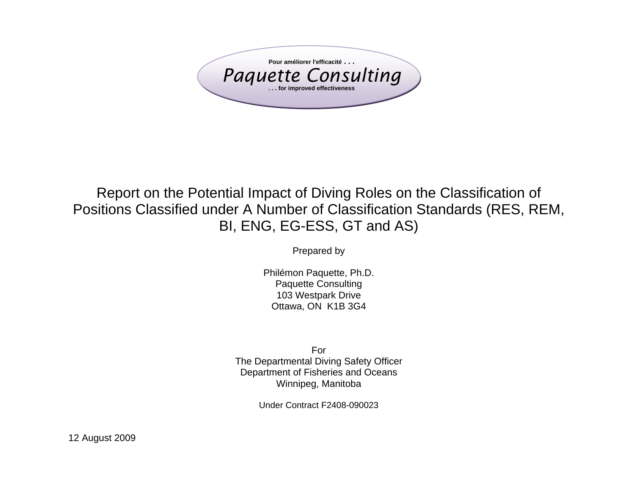

# Report on the Potential Impact of Diving Roles on the Classification of Positions Classified under A Number of Classification Standards (RES, REM, BI, ENG, EG-ESS, GT and AS)

Prepared by

Philémon Paquette, Ph.D. Paquette Consulting 103 Westpark Drive Ottawa, ON K1B 3G4

For The Departmental Diving Safety Officer Department of Fisheries and Oceans Winnipeg, Manitoba

Under Contract F2408-090023

12 August 2009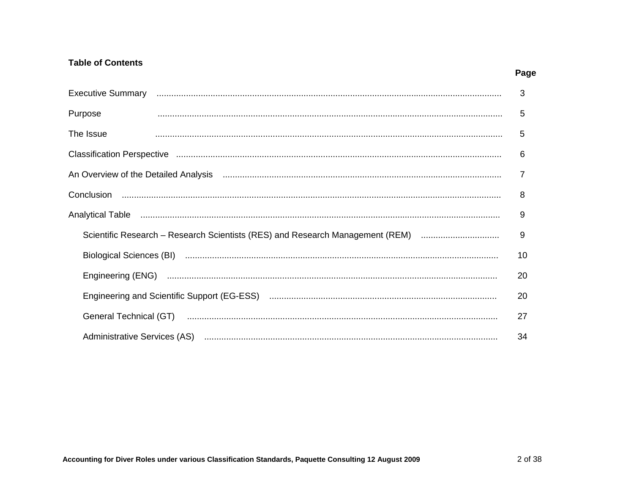# **Table of Contents**

|           |                                                                                                                                                                                                                                      | 3              |
|-----------|--------------------------------------------------------------------------------------------------------------------------------------------------------------------------------------------------------------------------------------|----------------|
| Purpose   |                                                                                                                                                                                                                                      | 5              |
| The Issue |                                                                                                                                                                                                                                      | 5              |
|           | Classification Perspective members and contract the contract of the contract of the contract of the contract of                                                                                                                      | 6              |
|           | An Overview of the Detailed Analysis (and according the continuum and according to the Detailed Analysis (and                                                                                                                        | $\overline{7}$ |
|           |                                                                                                                                                                                                                                      | 8              |
|           | Analytical Table <b>communical contract to the contract of the contract of the contract of the contract of the contract of the contract of the contract of the contract of the contract of the contract of the contract of the c</b> | 9              |
|           | Scientific Research – Research Scientists (RES) and Research Management (REM)                                                                                                                                                        | 9              |
|           |                                                                                                                                                                                                                                      | 10             |
|           |                                                                                                                                                                                                                                      | 20             |
|           |                                                                                                                                                                                                                                      | 20             |
|           |                                                                                                                                                                                                                                      | 27             |
|           |                                                                                                                                                                                                                                      | 34             |

Page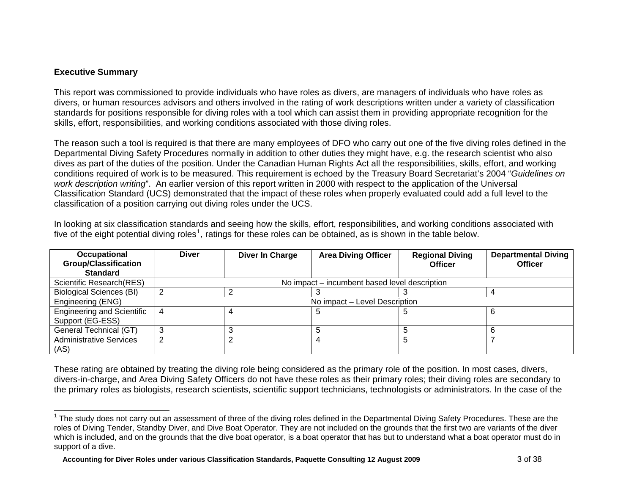### **Executive Summary**

This report was commissioned to provide individuals who have roles as divers, are managers of individuals who have roles as divers, or human resources advisors and others involved in the rating of work descriptions written under a variety of classification standards for positions responsible for diving roles with a tool which can assist them in providing appropriate recognition for the skills, effort, responsibilities, and working conditions associated with those diving roles.

The reason such a tool is required is that there are many employees of DFO who carry out one of the five diving roles defined in the Departmental Diving Safety Procedures normally in addition to other duties they might have, e.g. the research scientist who also dives as part of the duties of the position. Under the Canadian Human Rights Act all the responsibilities, skills, effort, and working conditions required of work is to be measured. This requirement is echoed by the Treasury Board Secretariat's 2004 "*Guidelines on work description writing*". An earlier version of this report written in 2000 with respect to the application of the Universal Classification Standard (UCS) demonstrated that the impact of these roles when properly evaluated could add a full level to the classification of a position carrying out diving roles under the UCS.

| Occupational<br><b>Group/Classification</b><br><b>Standard</b> | <b>Diver</b> | Diver In Charge | <b>Area Diving Officer</b>                    | <b>Regional Diving</b><br><b>Officer</b> | <b>Departmental Diving</b><br><b>Officer</b> |
|----------------------------------------------------------------|--------------|-----------------|-----------------------------------------------|------------------------------------------|----------------------------------------------|
| Scientific Research (RES)                                      |              |                 | No impact – incumbent based level description |                                          |                                              |
| <b>Biological Sciences (BI)</b>                                |              |                 |                                               |                                          |                                              |
| Engineering (ENG)                                              |              |                 | No impact - Level Description                 |                                          |                                              |
| <b>Engineering and Scientific</b>                              | 4            |                 |                                               |                                          |                                              |
| Support (EG-ESS)                                               |              |                 |                                               |                                          |                                              |
| General Technical (GT)                                         |              |                 |                                               |                                          |                                              |
| <b>Administrative Services</b>                                 | 2            |                 |                                               |                                          |                                              |
| (AS)                                                           |              |                 |                                               |                                          |                                              |

In looking at six classification standards and seeing how the skills, effort, responsibilities, and working conditions associated with five of the eight potential diving roles<sup>[1](#page-2-0)</sup>, ratings for these roles can be obtained, as is shown in the table below.

These rating are obtained by treating the diving role being considered as the primary role of the position. In most cases, divers, divers-in-charge, and Area Diving Safety Officers do not have these roles as their primary roles; their diving roles are secondary to the primary roles as biologists, research scientists, scientific support technicians, technologists or administrators. In the case of the

<span id="page-2-0"></span> $1$  The study does not carry out an assessment of three of the diving roles defined in the Departmental Diving Safety Procedures. These are the roles of Diving Tender, Standby Diver, and Dive Boat Operator. They are not included on the grounds that the first two are variants of the diver which is included, and on the grounds that the dive boat operator, is a boat operator that has but to understand what a boat operator must do in support of a dive.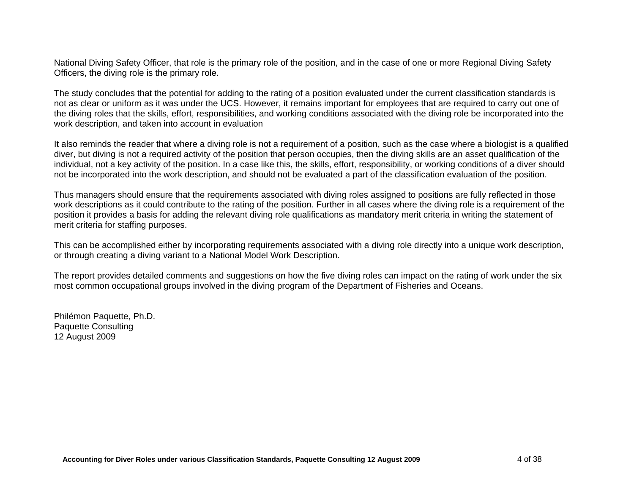National Diving Safety Officer, that role is the primary role of the position, and in the case of one or more Regional Diving Safety Officers, the diving role is the primary role.

The study concludes that the potential for adding to the rating of a position evaluated under the current classification standards is not as clear or uniform as it was under the UCS. However, it remains important for employees that are required to carry out one of the diving roles that the skills, effort, responsibilities, and working conditions associated with the diving role be incorporated into the work description, and taken into account in evaluation

It also reminds the reader that where a diving role is not a requirement of a position, such as the case where a biologist is a qualified diver, but diving is not a required activity of the position that person occupies, then the diving skills are an asset qualification of the individual, not a key activity of the position. In a case like this, the skills, effort, responsibility, or working conditions of a diver should not be incorporated into the work description, and should not be evaluated a part of the classification evaluation of the position.

Thus managers should ensure that the requirements associated with diving roles assigned to positions are fully reflected in those work descriptions as it could contribute to the rating of the position. Further in all cases where the diving role is a requirement of the position it provides a basis for adding the relevant diving role qualifications as mandatory merit criteria in writing the statement of merit criteria for staffing purposes.

This can be accomplished either by incorporating requirements associated with a diving role directly into a unique work description, or through creating a diving variant to a National Model Work Description.

The report provides detailed comments and suggestions on how the five diving roles can impact on the rating of work under the six most common occupational groups involved in the diving program of the Department of Fisheries and Oceans.

Philémon Paquette, Ph.D. Paquette Consulting 12 August 2009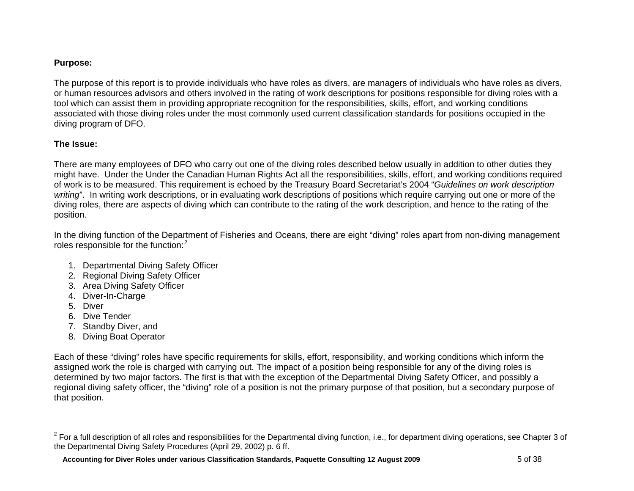### **Purpose:**

The purpose of this report is to provide individuals who have roles as divers, are managers of individuals who have roles as divers, or human resources advisors and others involved in the rating of work descriptions for positions responsible for diving roles with a tool which can assist them in providing appropriate recognition for the responsibilities, skills, effort, and working conditions associated with those diving roles under the most commonly used current classification standards for positions occupied in the diving program of DFO.

### **The Issue:**

There are many employees of DFO who carry out one of the diving roles described below usually in addition to other duties they might have. Under the Under the Canadian Human Rights Act all the responsibilities, skills, effort, and working conditions required of work is to be measured. This requirement is echoed by the Treasury Board Secretariat's 2004 "*Guidelines on work description writing*". In writing work descriptions, or in evaluating work descriptions of positions which require carrying out one or more of the diving roles, there are aspects of diving which can contribute to the rating of the work description, and hence to the rating of the position.

In the diving function of the Department of Fisheries and Oceans, there are eight "diving" roles apart from non-diving management roles responsible for the function:<sup>[2](#page-4-0)</sup>

- 1. Departmental Diving Safety Officer
- 2. Regional Diving Safety Officer
- 3. Area Diving Safety Officer
- 4. Diver-In-Charge
- 5. Diver
- 6. Dive Tender
- 7. Standby Diver, and
- 8. Diving Boat Operator

Each of these "diving" roles have specific requirements for skills, effort, responsibility, and working conditions which inform the assigned work the role is charged with carrying out. The impact of a position being responsible for any of the diving roles is determined by two major factors. The first is that with the exception of the Departmental Diving Safety Officer, and possibly a regional diving safety officer, the "diving" role of a position is not the primary purpose of that position, but a secondary purpose of that position.

<span id="page-4-0"></span> $2$  For a full description of all roles and responsibilities for the Departmental diving function, i.e., for department diving operations, see Chapter 3 of the Departmental Diving Safety Procedures (April 29, 2002) p. 6 ff.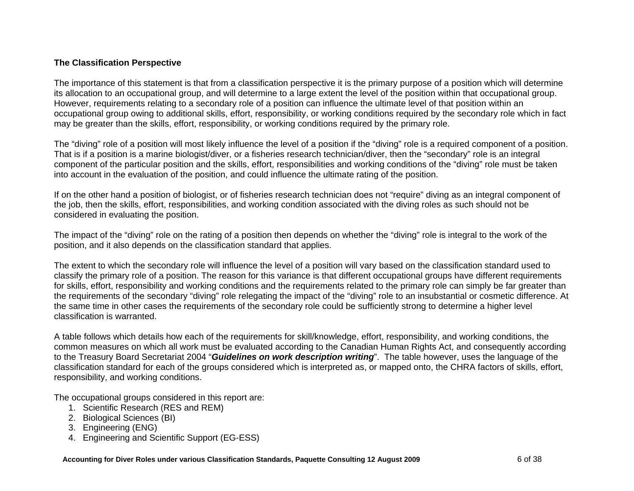### **The Classification Perspective**

The importance of this statement is that from a classification perspective it is the primary purpose of a position which will determine its allocation to an occupational group, and will determine to a large extent the level of the position within that occupational group. However, requirements relating to a secondary role of a position can influence the ultimate level of that position within an occupational group owing to additional skills, effort, responsibility, or working conditions required by the secondary role which in fact may be greater than the skills, effort, responsibility, or working conditions required by the primary role.

The "diving" role of a position will most likely influence the level of a position if the "diving" role is a required component of a position. That is if a position is a marine biologist/diver, or a fisheries research technician/diver, then the "secondary" role is an integral component of the particular position and the skills, effort, responsibilities and working conditions of the "diving" role must be taken into account in the evaluation of the position, and could influence the ultimate rating of the position.

If on the other hand a position of biologist, or of fisheries research technician does not "require" diving as an integral component of the job, then the skills, effort, responsibilities, and working condition associated with the diving roles as such should not be considered in evaluating the position.

The impact of the "diving" role on the rating of a position then depends on whether the "diving" role is integral to the work of the position, and it also depends on the classification standard that applies.

The extent to which the secondary role will influence the level of a position will vary based on the classification standard used to classify the primary role of a position. The reason for this variance is that different occupational groups have different requirements for skills, effort, responsibility and working conditions and the requirements related to the primary role can simply be far greater than the requirements of the secondary "diving" role relegating the impact of the "diving" role to an insubstantial or cosmetic difference. At the same time in other cases the requirements of the secondary role could be sufficiently strong to determine a higher level classification is warranted.

A table follows which details how each of the requirements for skill/knowledge, effort, responsibility, and working conditions, the common measures on which all work must be evaluated according to the Canadian Human Rights Act, and consequently according to the Treasury Board Secretariat 2004 "*Guidelines on work description writing*". The table however, uses the language of the classification standard for each of the groups considered which is interpreted as, or mapped onto, the CHRA factors of skills, effort, responsibility, and working conditions.

The occupational groups considered in this report are:

- 1. Scientific Research (RES and REM)
- 2. Biological Sciences (BI)
- 3. Engineering (ENG)
- 4. Engineering and Scientific Support (EG-ESS)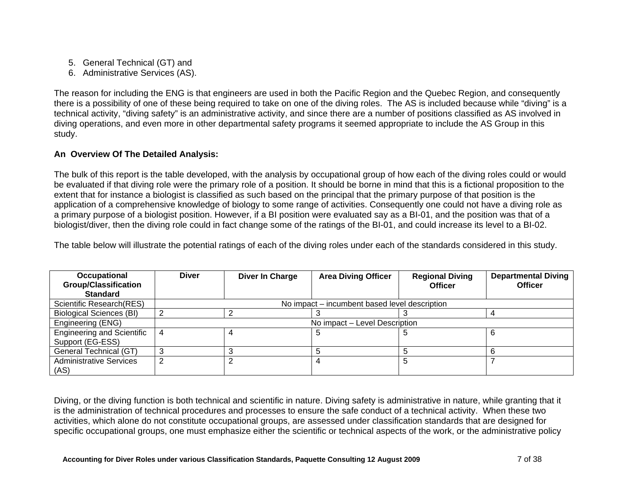- 5. General Technical (GT) and
- 6. Administrative Services (AS).

The reason for including the ENG is that engineers are used in both the Pacific Region and the Quebec Region, and consequently there is a possibility of one of these being required to take on one of the diving roles. The AS is included because while "diving" is a technical activity, "diving safety" is an administrative activity, and since there are a number of positions classified as AS involved in diving operations, and even more in other departmental safety programs it seemed appropriate to include the AS Group in this study.

### **An Overview Of The Detailed Analysis:**

(AS)

The bulk of this report is the table developed, with the analysis by occupational group of how each of the diving roles could or would be evaluated if that diving role were the primary role of a position. It should be borne in mind that this is a fictional proposition to the extent that for instance a biologist is classified as such based on the principal that the primary purpose of that position is the application of a comprehensive knowledge of biology to some range of activities. Consequently one could not have a diving role as a primary purpose of a biologist position. However, if a BI position were evaluated say as a BI-01, and the position was that of a biologist/diver, then the diving role could in fact change some of the ratings of the BI-01, and could increase its level to a BI-02.

**Occupational Group/Classification StandardDiverDiver In Charge | Area Diving Officer | Regional Diving Officer Departmental Diving Officer** Scientific Research(RES) No impact – incumbent based level description Biological Sciences (BI)  $\begin{array}{ccc} \vert & 2 & \vert & \vert & 3 & \vert & \vert & 3 \end{array}$   $\begin{array}{ccc} \vert & 3 & \vert & \vert & 3 & \vert & \vert & \vert & 4 \end{array}$ Engineering (ENG) The Communication of the Communication No impact – Level Description Engineering and Scientific Support (EG-ESS) 4 5 5 6 General Technical (GT) 3 3 5 5 6 Administrative Services 2 2 4 5 7

The table below will illustrate the potential ratings of each of the diving roles under each of the standards considered in this study.

Diving, or the diving function is both technical and scientific in nature. Diving safety is administrative in nature, while granting that it is the administration of technical procedures and processes to ensure the safe conduct of a technical activity. When these two activities, which alone do not constitute occupational groups, are assessed under classification standards that are designed for specific occupational groups, one must emphasize either the scientific or technical aspects of the work, or the administrative policy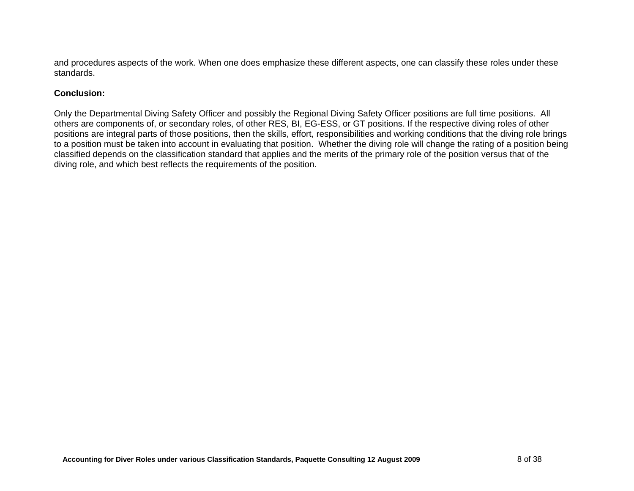and procedures aspects of the work. When one does emphasize these different aspects, one can classify these roles under these standards.

### **Conclusion:**

Only the Departmental Diving Safety Officer and possibly the Regional Diving Safety Officer positions are full time positions. All others are components of, or secondary roles, of other RES, BI, EG-ESS, or GT positions. If the respective diving roles of other positions are integral parts of those positions, then the skills, effort, responsibilities and working conditions that the diving role brings to a position must be taken into account in evaluating that position. Whether the diving role will change the rating of a position being classified depends on the classification standard that applies and the merits of the primary role of the position versus that of the diving role, and which best reflects the requirements of the position.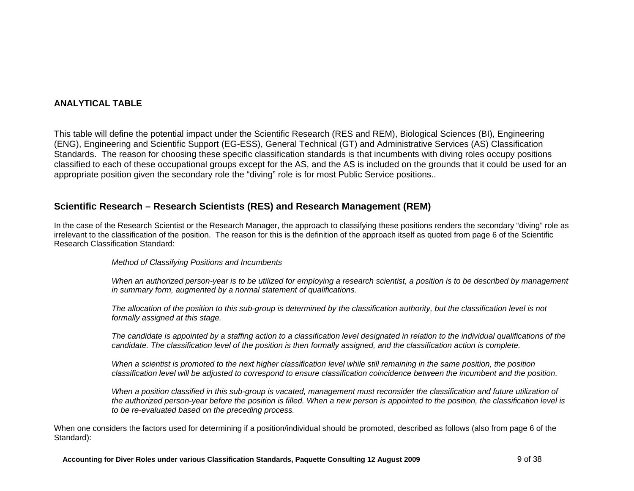#### **ANALYTICAL TABLE**

This table will define the potential impact under the Scientific Research (RES and REM), Biological Sciences (BI), Engineering (ENG), Engineering and Scientific Support (EG-ESS), General Technical (GT) and Administrative Services (AS) Classification Standards. The reason for choosing these specific classification standards is that incumbents with diving roles occupy positions classified to each of these occupational groups except for the AS, and the AS is included on the grounds that it could be used for an appropriate position given the secondary role the "diving" role is for most Public Service positions..

### **Scientific Research – Research Scientists (RES) and Research Management (REM)**

In the case of the Research Scientist or the Research Manager, the approach to classifying these positions renders the secondary "diving" role as irrelevant to the classification of the position. The reason for this is the definition of the approach itself as quoted from page 6 of the Scientific Research Classification Standard:

#### *Method of Classifying Positions and Incumbents*

*When an authorized person-year is to be utilized for employing a research scientist, a position is to be described by management in summary form, augmented by a normal statement of qualifications.* 

*The allocation of the position to this sub-group is determined by the classification authority, but the classification level is not formally assigned at this stage.* 

*The candidate is appointed by a staffing action to a classification level designated in relation to the individual qualifications of the candidate. The classification level of the position is then formally assigned, and the classification action is complete.* 

*When a scientist is promoted to the next higher classification level while still remaining in the same position, the position classification level will be adjusted to correspond to ensure classification coincidence between the incumbent and the position.* 

*When a position classified in this sub-group is vacated, management must reconsider the classification and future utilization of the authorized person-year before the position is filled. When a new person is appointed to the position, the classification level is to be re-evaluated based on the preceding process.* 

When one considers the factors used for determining if a position/individual should be promoted, described as follows (also from page 6 of the Standard):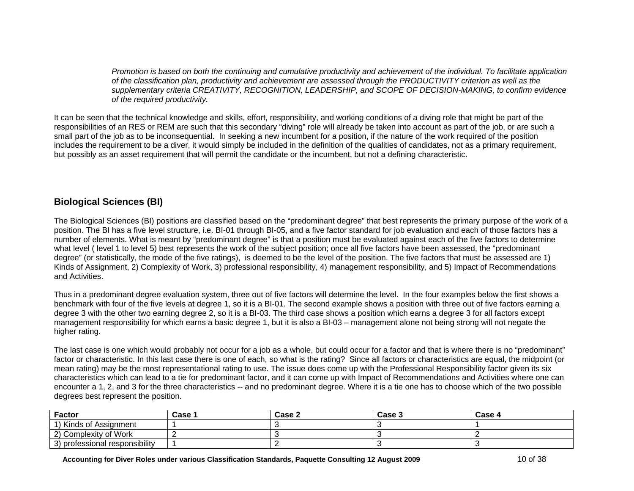*Promotion is based on both the continuing and cumulative productivity and achievement of the individual. To facilitate application of the classification plan, productivity and achievement are assessed through the PRODUCTIVITY criterion as well as the supplementary criteria CREATIVITY, RECOGNITION, LEADERSHIP, and SCOPE OF DECISION-MAKING, to confirm evidence of the required productivity.* 

It can be seen that the technical knowledge and skills, effort, responsibility, and working conditions of a diving role that might be part of the responsibilities of an RES or REM are such that this secondary "diving" role will already be taken into account as part of the job, or are such a small part of the job as to be inconsequential. In seeking a new incumbent for a position, if the nature of the work required of the position includes the requirement to be a diver, it would simply be included in the definition of the qualities of candidates, not as a primary requirement, but possibly as an asset requirement that will permit the candidate or the incumbent, but not a defining characteristic.

# **Biological Sciences (BI)**

The Biological Sciences (BI) positions are classified based on the "predominant degree" that best represents the primary purpose of the work of a position. The BI has a five level structure, i.e. BI-01 through BI-05, and a five factor standard for job evaluation and each of those factors has a number of elements. What is meant by "predominant degree" is that a position must be evaluated against each of the five factors to determine what level ( level 1 to level 5) best represents the work of the subject position; once all five factors have been assessed, the "predominant degree" (or statistically, the mode of the five ratings), is deemed to be the level of the position. The five factors that must be assessed are 1) Kinds of Assignment, 2) Complexity of Work, 3) professional responsibility, 4) management responsibility, and 5) Impact of Recommendations and Activities.

Thus in a predominant degree evaluation system, three out of five factors will determine the level. In the four examples below the first shows a benchmark with four of the five levels at degree 1, so it is a BI-01. The second example shows a position with three out of five factors earning a degree 3 with the other two earning degree 2, so it is a BI-03. The third case shows a position which earns a degree 3 for all factors except management responsibility for which earns a basic degree 1, but it is also a BI-03 – management alone not being strong will not negate the higher rating.

The last case is one which would probably not occur for a job as a whole, but could occur for a factor and that is where there is no "predominant" factor or characteristic. In this last case there is one of each, so what is the rating? Since all factors or characteristics are equal, the midpoint (or mean rating) may be the most representational rating to use. The issue does come up with the Professional Responsibility factor given its six characteristics which can lead to a tie for predominant factor, and it can come up with Impact of Recommendations and Activities where one can encounter a 1, 2, and 3 for the three characteristics -- and no predominant degree. Where it is a tie one has to choose which of the two possible degrees best represent the position.

| Factor                         | Case | Case 2 | Case 3 | Case 4 |
|--------------------------------|------|--------|--------|--------|
| 1) Kinds of Assignment         |      |        |        |        |
| 2) Complexity of Work          |      |        |        |        |
| 3) professional responsibility |      |        |        |        |

**Accounting for Diver Roles under various Classification Standards, Paquette Consulting 12 August 2009** 10 of 38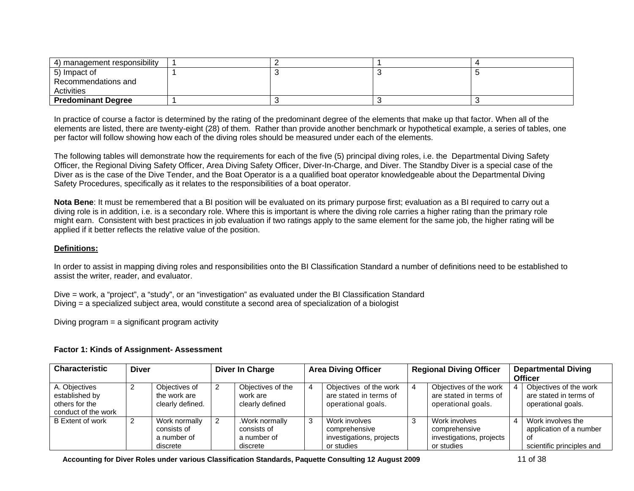| 4) management responsibility |  |  |
|------------------------------|--|--|
| 5) Impact of                 |  |  |
| Recommendations and          |  |  |
| Activities                   |  |  |
| <b>Predominant Degree</b>    |  |  |

In practice of course a factor is determined by the rating of the predominant degree of the elements that make up that factor. When all of the elements are listed, there are twenty-eight (28) of them. Rather than provide another benchmark or hypothetical example, a series of tables, one per factor will follow showing how each of the diving roles should be measured under each of the elements.

The following tables will demonstrate how the requirements for each of the five (5) principal diving roles, i.e. the Departmental Diving Safety Officer, the Regional Diving Safety Officer, Area Diving Safety Officer, Diver-In-Charge, and Diver. The Standby Diver is a special case of the Diver as is the case of the Dive Tender, and the Boat Operator is a a qualified boat operator knowledgeable about the Departmental Diving Safety Procedures, specifically as it relates to the responsibilities of a boat operator.

**Nota Bene**: It must be remembered that a BI position will be evaluated on its primary purpose first; evaluation as a BI required to carry out a diving role is in addition, i.e. is a secondary role. Where this is important is where the diving role carries a higher rating than the primary role might earn. Consistent with best practices in job evaluation if two ratings apply to the same element for the same job, the higher rating will be applied if it better reflects the relative value of the position.

#### **Definitions:**

In order to assist in mapping diving roles and responsibilities onto the BI Classification Standard a number of definitions need to be established to assist the writer, reader, and evaluator.

Dive = work, a "project", a "study", or an "investigation" as evaluated under the BI Classification Standard Diving = a specialized subject area, would constitute a second area of specialization of a biologist

Diving program = a significant program activity

#### **Factor 1: Kinds of Assignment- Assessment**

| <b>Characteristic</b>                                                    | <b>Diver</b> |                                                         | Diver In Charge |                                                          |   | <b>Area Diving Officer</b>                                               | <b>Regional Diving Officer</b> |                                                                          |  | <b>Departmental Diving</b><br><b>Officer</b>                              |  |  |
|--------------------------------------------------------------------------|--------------|---------------------------------------------------------|-----------------|----------------------------------------------------------|---|--------------------------------------------------------------------------|--------------------------------|--------------------------------------------------------------------------|--|---------------------------------------------------------------------------|--|--|
| A. Objectives<br>established by<br>others for the<br>conduct of the work |              | Objectives of<br>the work are<br>clearly defined.       | 2               | Objectives of the<br>work are<br>clearly defined         |   | Objectives of the work<br>are stated in terms of<br>operational goals.   | 4                              | Objectives of the work<br>are stated in terms of<br>operational goals.   |  | Objectives of the work<br>are stated in terms of<br>operational goals.    |  |  |
| <b>B</b> Extent of work                                                  |              | Work normally<br>consists of<br>a number of<br>discrete | 2               | .Work normally<br>consists of<br>a number of<br>discrete | 3 | Work involves<br>comprehensive<br>investigations, projects<br>or studies |                                | Work involves<br>comprehensive<br>investigations, projects<br>or studies |  | Work involves the<br>application of a number<br>scientific principles and |  |  |

**Accounting for Diver Roles under various Classification Standards, Paquette Consulting 12 August 2009** 11 of 38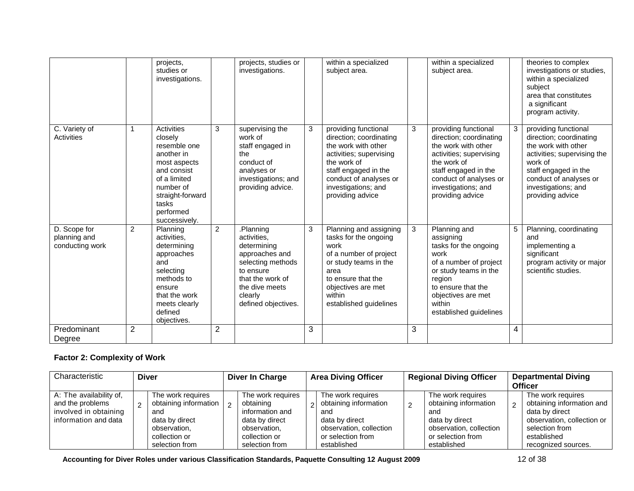|                                                 |                | projects,<br>studies or<br>investigations.                                                                                                                                        |                | projects, studies or<br>investigations.                                                                                                                            |   | within a specialized<br>subject area.                                                                                                                                                                         |   | within a specialized<br>subject area.                                                                                                                                                                         |   | theories to complex<br>investigations or studies,<br>within a specialized<br>subject<br>area that constitutes<br>a significant<br>program activity.                                                           |
|-------------------------------------------------|----------------|-----------------------------------------------------------------------------------------------------------------------------------------------------------------------------------|----------------|--------------------------------------------------------------------------------------------------------------------------------------------------------------------|---|---------------------------------------------------------------------------------------------------------------------------------------------------------------------------------------------------------------|---|---------------------------------------------------------------------------------------------------------------------------------------------------------------------------------------------------------------|---|---------------------------------------------------------------------------------------------------------------------------------------------------------------------------------------------------------------|
| C. Variety of<br><b>Activities</b>              |                | <b>Activities</b><br>closely<br>resemble one<br>another in<br>most aspects<br>and consist<br>of a limited<br>number of<br>straight-forward<br>tasks<br>performed<br>successively. | 3              | supervising the<br>work of<br>staff engaged in<br>the<br>conduct of<br>analyses or<br>investigations; and<br>providing advice.                                     | 3 | providing functional<br>direction; coordinating<br>the work with other<br>activities; supervising<br>the work of<br>staff engaged in the<br>conduct of analyses or<br>investigations; and<br>providing advice | 3 | providing functional<br>direction; coordinating<br>the work with other<br>activities; supervising<br>the work of<br>staff engaged in the<br>conduct of analyses or<br>investigations; and<br>providing advice | 3 | providing functional<br>direction; coordinating<br>the work with other<br>activities; supervising the<br>work of<br>staff engaged in the<br>conduct of analyses or<br>investigations; and<br>providing advice |
| D. Scope for<br>planning and<br>conducting work | $\overline{2}$ | Planning<br>activities.<br>determining<br>approaches<br>and<br>selecting<br>methods to<br>ensure<br>that the work<br>meets clearly<br>defined<br>objectives.                      | $\overline{2}$ | Planning<br>activities.<br>determining<br>approaches and<br>selecting methods<br>to ensure<br>that the work of<br>the dive meets<br>clearly<br>defined objectives. | 3 | Planning and assigning<br>tasks for the ongoing<br>work<br>of a number of project<br>or study teams in the<br>area<br>to ensure that the<br>objectives are met<br>within<br>established guidelines            | 3 | Planning and<br>assigning<br>tasks for the ongoing<br>work<br>of a number of project<br>or study teams in the<br>region<br>to ensure that the<br>objectives are met<br>within<br>established guidelines       | 5 | Planning, coordinating<br>and<br>implementing a<br>significant<br>program activity or major<br>scientific studies.                                                                                            |
| Predominant<br>Degree                           | $\overline{2}$ |                                                                                                                                                                                   | $\overline{2}$ |                                                                                                                                                                    | 3 |                                                                                                                                                                                                               | 3 |                                                                                                                                                                                                               | 4 |                                                                                                                                                                                                               |

### **Factor 2: Complexity of Work**

| Characteristic                                                                               | <b>Diver</b> |                                                                                                                        | Diver In Charge |                                                                                                                        | <b>Area Diving Officer</b> |                                                                                                                                    | <b>Regional Diving Officer</b> |                                                                                                                                    |  | <b>Departmental Diving</b><br><b>Officer</b>                                                                                                           |  |  |
|----------------------------------------------------------------------------------------------|--------------|------------------------------------------------------------------------------------------------------------------------|-----------------|------------------------------------------------------------------------------------------------------------------------|----------------------------|------------------------------------------------------------------------------------------------------------------------------------|--------------------------------|------------------------------------------------------------------------------------------------------------------------------------|--|--------------------------------------------------------------------------------------------------------------------------------------------------------|--|--|
| A: The availability of,<br>and the problems<br>involved in obtaining<br>information and data |              | The work requires<br>obtaining information<br>and<br>data by direct<br>observation.<br>collection or<br>selection from |                 | The work requires<br>obtaining<br>information and<br>data by direct<br>observation,<br>collection or<br>selection from |                            | The work requires<br>obtaining information<br>and<br>data by direct<br>observation, collection<br>or selection from<br>established | ົ                              | The work requires<br>obtaining information<br>and<br>data by direct<br>observation, collection<br>or selection from<br>established |  | The work requires<br>obtaining information and<br>data by direct<br>observation, collection or<br>selection from<br>established<br>recognized sources. |  |  |

**Accounting for Diver Roles under various Classification Standards, Paquette Consulting 12 August 2009** 12 of 38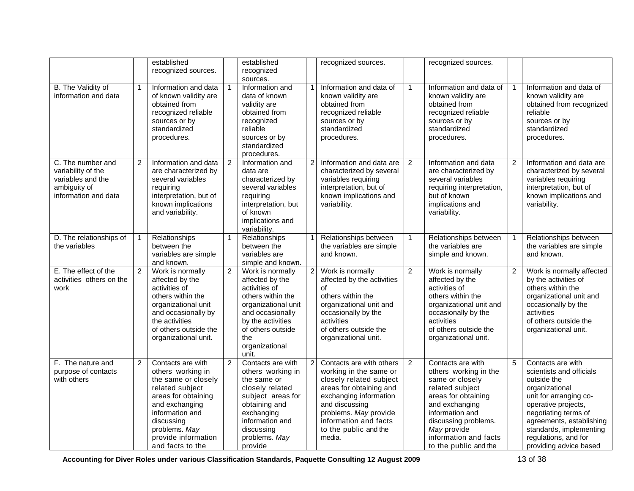|                                                                                                      |                | established<br>recognized sources.                                                                                                                                                                                     |                | established<br>recognized<br>sources.                                                                                                                                                            |                | recognized sources.                                                                                                                                                                                                                       |                | recognized sources.                                                                                                                                                                                                                   |                |                                                                                                                                                                                                                                                                  |
|------------------------------------------------------------------------------------------------------|----------------|------------------------------------------------------------------------------------------------------------------------------------------------------------------------------------------------------------------------|----------------|--------------------------------------------------------------------------------------------------------------------------------------------------------------------------------------------------|----------------|-------------------------------------------------------------------------------------------------------------------------------------------------------------------------------------------------------------------------------------------|----------------|---------------------------------------------------------------------------------------------------------------------------------------------------------------------------------------------------------------------------------------|----------------|------------------------------------------------------------------------------------------------------------------------------------------------------------------------------------------------------------------------------------------------------------------|
| B. The Validity of<br>information and data                                                           | 1              | Information and data<br>of known validity are<br>obtained from<br>recognized reliable<br>sources or by<br>standardized<br>procedures.                                                                                  |                | Information and<br>data of known<br>validity are<br>obtained from<br>recognized<br>reliable<br>sources or by<br>standardized<br>procedures.                                                      |                | Information and data of<br>known validity are<br>obtained from<br>recognized reliable<br>sources or by<br>standardized<br>procedures.                                                                                                     |                | Information and data of<br>known validity are<br>obtained from<br>recognized reliable<br>sources or by<br>standardized<br>procedures.                                                                                                 |                | Information and data of<br>known validity are<br>obtained from recognized<br>reliable<br>sources or by<br>standardized<br>procedures.                                                                                                                            |
| C. The number and<br>variability of the<br>variables and the<br>ambiguity of<br>information and data | $\overline{2}$ | Information and data<br>are characterized by<br>several variables<br>requiring<br>interpretation, but of<br>known implications<br>and variability.                                                                     | $\overline{2}$ | Information and<br>data are<br>characterized by<br>several variables<br>requiring<br>interpretation, but<br>of known<br>implications and<br>variability.                                         |                | Information and data are<br>characterized by several<br>variables requiring<br>interpretation, but of<br>known implications and<br>variability.                                                                                           | $\overline{2}$ | Information and data<br>are characterized by<br>several variables<br>requiring interpretation,<br>but of known<br>implications and<br>variability.                                                                                    | $\overline{2}$ | Information and data are<br>characterized by several<br>variables requiring<br>interpretation, but of<br>known implications and<br>variability.                                                                                                                  |
| D. The relationships of<br>the variables                                                             | $\mathbf{1}$   | Relationships<br>between the<br>variables are simple<br>and known.                                                                                                                                                     | $\mathbf{1}$   | Relationships<br>between the<br>variables are<br>simple and known.                                                                                                                               |                | Relationships between<br>the variables are simple<br>and known.                                                                                                                                                                           | 1              | Relationships between<br>the variables are<br>simple and known.                                                                                                                                                                       |                | Relationships between<br>the variables are simple<br>and known.                                                                                                                                                                                                  |
| E. The effect of the<br>activities others on the<br>work                                             | $\overline{2}$ | Work is normally<br>affected by the<br>activities of<br>others within the<br>organizational unit<br>and occasionally by<br>the activities<br>of others outside the<br>organizational unit.                             | $\overline{2}$ | Work is normally<br>affected by the<br>activities of<br>others within the<br>organizational unit<br>and occasionally<br>by the activities<br>of others outside<br>the<br>organizational<br>unit. | $\overline{2}$ | Work is normally<br>affected by the activities<br>οf<br>others within the<br>organizational unit and<br>occasionally by the<br>activities<br>of others outside the<br>organizational unit.                                                | $\overline{2}$ | Work is normally<br>affected by the<br>activities of<br>others within the<br>organizational unit and<br>occasionally by the<br>activities<br>of others outside the<br>organizational unit.                                            | $\overline{c}$ | Work is normally affected<br>by the activities of<br>others within the<br>organizational unit and<br>occasionally by the<br>activities<br>of others outside the<br>organizational unit.                                                                          |
| F. The nature and<br>purpose of contacts<br>with others                                              | $\overline{a}$ | Contacts are with<br>others working in<br>the same or closely<br>related subject<br>areas for obtaining<br>and exchanging<br>information and<br>discussing<br>problems. May<br>provide information<br>and facts to the | $\overline{2}$ | Contacts are with<br>others working in<br>the same or<br>closely related<br>subject areas for<br>obtaining and<br>exchanging<br>information and<br>discussing<br>problems. May<br>provide        |                | Contacts are with others<br>working in the same or<br>closely related subject<br>areas for obtaining and<br>exchanging information<br>and discussing<br>problems. May provide<br>information and facts<br>to the public and the<br>media. | $\overline{2}$ | Contacts are with<br>others working in the<br>same or closely<br>related subject<br>areas for obtaining<br>and exchanging<br>information and<br>discussing problems.<br>May provide<br>information and facts<br>to the public and the | 5              | Contacts are with<br>scientists and officials<br>outside the<br>organizational<br>unit for arranging co-<br>operative projects,<br>negotiating terms of<br>agreements, establishing<br>standards, implementing<br>regulations, and for<br>providing advice based |

Accounting for Diver Roles under various Classification Standards, Paquette Consulting 12 August 2009 13 01 36 138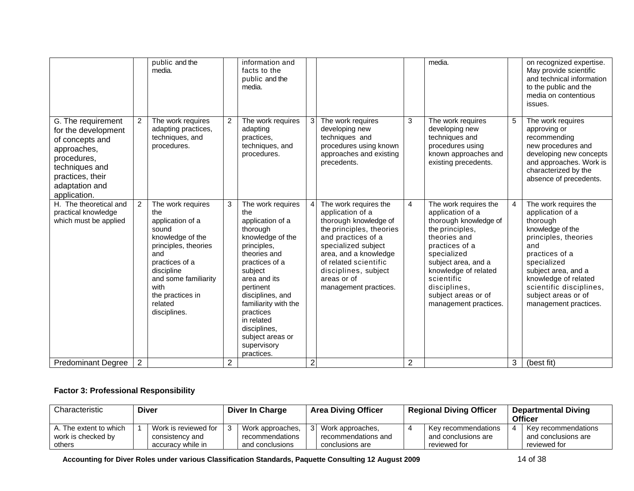|                                                                                                                                                                    |                | public and the<br>media.                                                                                                                                                                                                |                | information and<br>facts to the<br>public and the<br>media.                                                                                                                                                                                                                                                   |                |                                                                                                                                                                                                                                                               |                | media.                                                                                                                                                                                                                                                              |   | on recognized expertise.<br>May provide scientific<br>and technical information<br>to the public and the<br>media on contentious<br>issues.                                                                                                                         |
|--------------------------------------------------------------------------------------------------------------------------------------------------------------------|----------------|-------------------------------------------------------------------------------------------------------------------------------------------------------------------------------------------------------------------------|----------------|---------------------------------------------------------------------------------------------------------------------------------------------------------------------------------------------------------------------------------------------------------------------------------------------------------------|----------------|---------------------------------------------------------------------------------------------------------------------------------------------------------------------------------------------------------------------------------------------------------------|----------------|---------------------------------------------------------------------------------------------------------------------------------------------------------------------------------------------------------------------------------------------------------------------|---|---------------------------------------------------------------------------------------------------------------------------------------------------------------------------------------------------------------------------------------------------------------------|
| G. The requirement<br>for the development<br>of concepts and<br>approaches,<br>procedures,<br>techniques and<br>practices, their<br>adaptation and<br>application. | $\overline{2}$ | The work requires<br>adapting practices,<br>techniques, and<br>procedures.                                                                                                                                              | $2^{\circ}$    | The work requires<br>adapting<br>practices,<br>techniques, and<br>procedures.                                                                                                                                                                                                                                 | 3 <sup>1</sup> | The work requires<br>developing new<br>techniques and<br>procedures using known<br>approaches and existing<br>precedents.                                                                                                                                     | 3              | The work requires<br>developing new<br>techniques and<br>procedures using<br>known approaches and<br>existing precedents.                                                                                                                                           | 5 | The work requires<br>approving or<br>recommending<br>new procedures and<br>developing new concepts<br>and approaches. Work is<br>characterized by the<br>absence of precedents.                                                                                     |
| H. The theoretical and<br>practical knowledge<br>which must be applied                                                                                             | $\overline{2}$ | The work requires<br>the<br>application of a<br>sound<br>knowledge of the<br>principles, theories<br>and<br>practices of a<br>discipline<br>and some familiarity<br>with<br>the practices in<br>related<br>disciplines. | 3              | The work requires<br>the<br>application of a<br>thorough<br>knowledge of the<br>principles,<br>theories and<br>practices of a<br>subject<br>area and its<br>pertinent<br>disciplines, and<br>familiarity with the<br>practices<br>in related<br>disciplines,<br>subject areas or<br>supervisory<br>practices. | 4              | The work requires the<br>application of a<br>thorough knowledge of<br>the principles, theories<br>and practices of a<br>specialized subject<br>area, and a knowledge<br>of related scientific<br>disciplines, subject<br>areas or of<br>management practices. | $\overline{4}$ | The work requires the<br>application of a<br>thorough knowledge of<br>the principles,<br>theories and<br>practices of a<br>specialized<br>subject area, and a<br>knowledge of related<br>scientific<br>disciplines,<br>subject areas or of<br>management practices. | 4 | The work requires the<br>application of a<br>thorough<br>knowledge of the<br>principles, theories<br>and<br>practices of a<br>specialized<br>subject area, and a<br>knowledge of related<br>scientific disciplines,<br>subject areas or of<br>management practices. |
| <b>Predominant Degree</b>                                                                                                                                          | $\overline{2}$ |                                                                                                                                                                                                                         | $\overline{2}$ |                                                                                                                                                                                                                                                                                                               | $\overline{2}$ |                                                                                                                                                                                                                                                               | 2              |                                                                                                                                                                                                                                                                     | 3 | (best fit)                                                                                                                                                                                                                                                          |

### **Factor 3: Professional Responsibility**

| Characteristic         | Diver |                      | Diver In Charge  |      | <b>Area Diving Officer</b> |  | <b>Regional Diving Officer</b> | <b>Departmental Diving</b><br><b>Officer</b> |                     |  |
|------------------------|-------|----------------------|------------------|------|----------------------------|--|--------------------------------|----------------------------------------------|---------------------|--|
| A. The extent to which |       | Work is reviewed for | Work approaches, | -3 I | Work approaches,           |  | Key recommendations            |                                              | Key recommendations |  |
| l work is checked bv   |       | consistency and      | recommendations  |      | recommendations and        |  | and conclusions are            |                                              | and conclusions are |  |
| others                 |       | accuracv while in    | and conclusions  |      | conclusions are            |  | reviewed for                   |                                              | reviewed for        |  |

**Accounting for Diver Roles under various Classification Standards, Paquette Consulting 12 August 2009** 14 of 38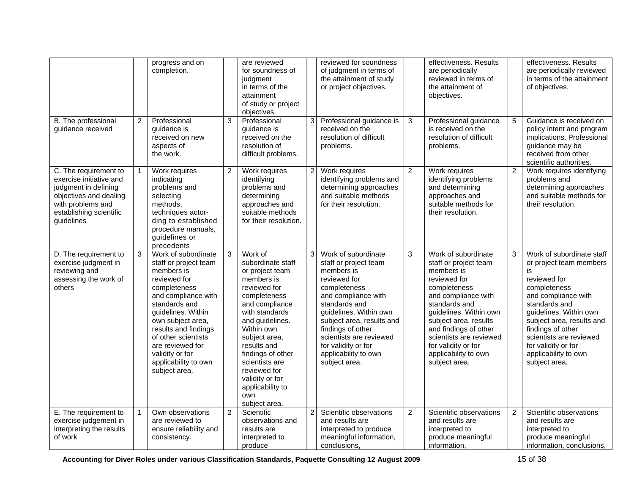| B. The professional                                                                                                                                              | $\overline{2}$ | progress and on<br>completion.<br>Professional                                                                                                                                                                                                                                                               | 3              | are reviewed<br>for soundness of<br>judgment<br>in terms of the<br>attainment<br>of study or project<br>objectives.<br>Professional                                                                                                                                                                                      | 3              | reviewed for soundness<br>of judgment in terms of<br>the attainment of study<br>or project objectives.<br>Professional guidance is                                                                                                                                                                        | 3              | effectiveness. Results<br>are periodically<br>reviewed in terms of<br>the attainment of<br>objectives.<br>Professional guidance                                                                                                                                                                           | 5              | effectiveness. Results<br>are periodically reviewed<br>in terms of the attainment<br>of objectives.<br>Guidance is received on                                                                                                                                                                            |
|------------------------------------------------------------------------------------------------------------------------------------------------------------------|----------------|--------------------------------------------------------------------------------------------------------------------------------------------------------------------------------------------------------------------------------------------------------------------------------------------------------------|----------------|--------------------------------------------------------------------------------------------------------------------------------------------------------------------------------------------------------------------------------------------------------------------------------------------------------------------------|----------------|-----------------------------------------------------------------------------------------------------------------------------------------------------------------------------------------------------------------------------------------------------------------------------------------------------------|----------------|-----------------------------------------------------------------------------------------------------------------------------------------------------------------------------------------------------------------------------------------------------------------------------------------------------------|----------------|-----------------------------------------------------------------------------------------------------------------------------------------------------------------------------------------------------------------------------------------------------------------------------------------------------------|
| guidance received                                                                                                                                                |                | guidance is<br>received on new<br>aspects of<br>the work.                                                                                                                                                                                                                                                    |                | guidance is<br>received on the<br>resolution of<br>difficult problems.                                                                                                                                                                                                                                                   |                | received on the<br>resolution of difficult<br>problems.                                                                                                                                                                                                                                                   |                | is received on the<br>resolution of difficult<br>problems.                                                                                                                                                                                                                                                |                | policy intent and program<br>implications. Professional<br>guidance may be<br>received from other<br>scientific authorities.                                                                                                                                                                              |
| C. The requirement to<br>exercise initiative and<br>judgment in defining<br>objectives and dealing<br>with problems and<br>establishing scientific<br>guidelines | $\mathbf{1}$   | Work requires<br>indicating<br>problems and<br>selecting<br>methods,<br>techniques actor-<br>ding to established<br>procedure manuals,<br>guidelines or<br>precedents                                                                                                                                        | $\overline{2}$ | Work requires<br>identifying<br>problems and<br>determining<br>approaches and<br>suitable methods<br>for their resolution.                                                                                                                                                                                               | $\overline{2}$ | Work requires<br>identifying problems and<br>determining approaches<br>and suitable methods<br>for their resolution.                                                                                                                                                                                      | $\overline{2}$ | Work requires<br>identifying problems<br>and determining<br>approaches and<br>suitable methods for<br>their resolution.                                                                                                                                                                                   | $\overline{c}$ | Work requires identifying<br>problems and<br>determining approaches<br>and suitable methods for<br>their resolution.                                                                                                                                                                                      |
| D. The requirement to<br>exercise judgment in<br>reviewing and<br>assessing the work of<br>others                                                                | $\mathbf{3}$   | Work of subordinate<br>staff or project team<br>members is<br>reviewed for<br>completeness<br>and compliance with<br>standards and<br>guidelines. Within<br>own subject area,<br>results and findings<br>of other scientists<br>are reviewed for<br>validity or for<br>applicability to own<br>subject area. | 3 <sup>1</sup> | Work of<br>subordinate staff<br>or project team<br>members is<br>reviewed for<br>completeness<br>and compliance<br>with standards<br>and guidelines.<br>Within own<br>subject area,<br>results and<br>findings of other<br>scientists are<br>reviewed for<br>validity or for<br>applicability to<br>own<br>subject area. | 3              | Work of subordinate<br>staff or project team<br>members is<br>reviewed for<br>completeness<br>and compliance with<br>standards and<br>guidelines. Within own<br>subject area, results and<br>findings of other<br>scientists are reviewed<br>for validity or for<br>applicability to own<br>subject area. | 3              | Work of subordinate<br>staff or project team<br>members is<br>reviewed for<br>completeness<br>and compliance with<br>standards and<br>guidelines. Within own<br>subject area, results<br>and findings of other<br>scientists are reviewed<br>for validity or for<br>applicability to own<br>subject area. | 3              | Work of subordinate staff<br>or project team members<br>is<br>reviewed for<br>completeness<br>and compliance with<br>standards and<br>guidelines. Within own<br>subject area, results and<br>findings of other<br>scientists are reviewed<br>for validity or for<br>applicability to own<br>subject area. |
| E. The requirement to<br>exercise judgement in<br>interpreting the results<br>of work                                                                            | $\mathbf{1}$   | Own observations<br>are reviewed to<br>ensure reliability and<br>consistency.                                                                                                                                                                                                                                | $\overline{2}$ | Scientific<br>observations and<br>results are<br>interpreted to<br>produce                                                                                                                                                                                                                                               | $\overline{2}$ | Scientific observations<br>and results are<br>interpreted to produce<br>meaningful information,<br>conclusions,                                                                                                                                                                                           | $\overline{2}$ | Scientific observations<br>and results are<br>interpreted to<br>produce meaningful<br>information,                                                                                                                                                                                                        | $\overline{2}$ | Scientific observations<br>and results are<br>interpreted to<br>produce meaningful<br>information, conclusions,                                                                                                                                                                                           |

**Accounting for Diver Roles under various Classification Standards, Paquette Consulting 12 August 2009** 15 of 38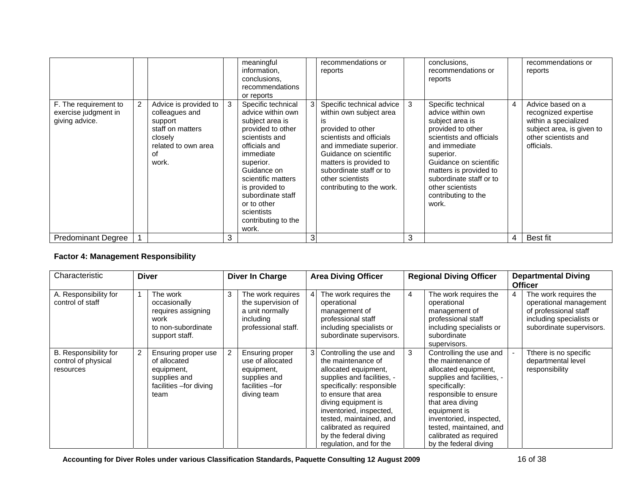|                                                                 |                                                                                                                         |   | meaningful<br>information,<br>conclusions,<br>recommendations<br>or reports                                                                                                                                                                                                           |   | recommendations or<br>reports                                                                                                                                                                                                                                          |   | conclusions,<br>recommendations or<br>reports                                                                                                                                                                                                                                |                | recommendations or<br>reports                                                                                                        |
|-----------------------------------------------------------------|-------------------------------------------------------------------------------------------------------------------------|---|---------------------------------------------------------------------------------------------------------------------------------------------------------------------------------------------------------------------------------------------------------------------------------------|---|------------------------------------------------------------------------------------------------------------------------------------------------------------------------------------------------------------------------------------------------------------------------|---|------------------------------------------------------------------------------------------------------------------------------------------------------------------------------------------------------------------------------------------------------------------------------|----------------|--------------------------------------------------------------------------------------------------------------------------------------|
| F. The requirement to<br>exercise judgment in<br>giving advice. | Advice is provided to<br>colleagues and<br>support<br>staff on matters<br>closely<br>related to own area<br>оf<br>work. | 3 | Specific technical<br>advice within own<br>subject area is<br>provided to other<br>scientists and<br>officials and<br>immediate<br>superior.<br>Guidance on<br>scientific matters<br>is provided to<br>subordinate staff<br>or to other<br>scientists<br>contributing to the<br>work. |   | Specific technical advice<br>within own subject area<br>is<br>provided to other<br>scientists and officials<br>and immediate superior.<br>Guidance on scientific<br>matters is provided to<br>subordinate staff or to<br>other scientists<br>contributing to the work. | 3 | Specific technical<br>advice within own<br>subject area is<br>provided to other<br>scientists and officials<br>and immediate<br>superior.<br>Guidance on scientific<br>matters is provided to<br>subordinate staff or to<br>other scientists<br>contributing to the<br>work. | $\overline{4}$ | Advice based on a<br>recognized expertise<br>within a specialized<br>subject area, is given to<br>other scientists and<br>officials. |
| <b>Predominant Degree</b>                                       |                                                                                                                         | 3 |                                                                                                                                                                                                                                                                                       | 3 |                                                                                                                                                                                                                                                                        | 3 |                                                                                                                                                                                                                                                                              | 4              | Best fit                                                                                                                             |

### **Factor 4: Management Responsibility**

| Characteristic                                            |                | <b>Diver</b>                                                                                         | Diver In Charge |                                                                                                     |                | <b>Area Diving Officer</b>                                                                                                                                                                                                                                                                                         |   | <b>Regional Diving Officer</b>                                                                                                                                                                                                                                                             | <b>Departmental Diving</b><br><b>Officer</b> |                                                                                                                                  |  |
|-----------------------------------------------------------|----------------|------------------------------------------------------------------------------------------------------|-----------------|-----------------------------------------------------------------------------------------------------|----------------|--------------------------------------------------------------------------------------------------------------------------------------------------------------------------------------------------------------------------------------------------------------------------------------------------------------------|---|--------------------------------------------------------------------------------------------------------------------------------------------------------------------------------------------------------------------------------------------------------------------------------------------|----------------------------------------------|----------------------------------------------------------------------------------------------------------------------------------|--|
| A. Responsibility for<br>control of staff                 |                | The work<br>occasionally<br>requires assigning<br>work<br>to non-subordinate<br>support staff.       | 3               | The work requires<br>the supervision of<br>a unit normally<br>including<br>professional staff.      | 4 I            | The work requires the<br>operational<br>management of<br>professional staff<br>including specialists or<br>subordinate supervisors.                                                                                                                                                                                | 4 | The work requires the<br>operational<br>management of<br>professional staff<br>including specialists or<br>subordinate<br>supervisors.                                                                                                                                                     | 4                                            | The work requires the<br>operational management<br>of professional staff<br>including specialists or<br>subordinate supervisors. |  |
| B. Responsibility for<br>control of physical<br>resources | $\overline{2}$ | Ensuring proper use<br>of allocated<br>equipment,<br>supplies and<br>facilities - for diving<br>team | $\overline{2}$  | Ensuring proper<br>use of allocated<br>equipment,<br>supplies and<br>facilities –for<br>diving team | 3 <sup>1</sup> | Controlling the use and<br>the maintenance of<br>allocated equipment,<br>supplies and facilities, -<br>specifically: responsible<br>to ensure that area<br>diving equipment is<br>inventoried, inspected,<br>tested, maintained, and<br>calibrated as required<br>by the federal diving<br>regulation, and for the | 3 | Controlling the use and<br>the maintenance of<br>allocated equipment,<br>supplies and facilities, -<br>specifically:<br>responsible to ensure<br>that area diving<br>equipment is<br>inventoried, inspected,<br>tested, maintained, and<br>calibrated as required<br>by the federal diving |                                              | Tthere is no specific<br>departmental level<br>responsibility                                                                    |  |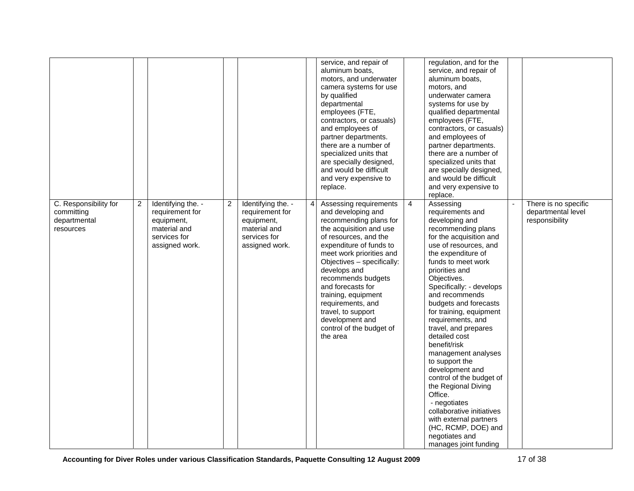|                                                                  |                |                                                                                                       |                |                                                                                                       |   | service, and repair of<br>aluminum boats,<br>motors, and underwater<br>camera systems for use<br>by qualified<br>departmental<br>employees (FTE,<br>contractors, or casuals)<br>and employees of<br>partner departments.<br>there are a number of<br>specialized units that<br>are specially designed,<br>and would be difficult<br>and very expensive to<br>replace.                                   |   | regulation, and for the<br>service, and repair of<br>aluminum boats.<br>motors, and<br>underwater camera<br>systems for use by<br>qualified departmental<br>employees (FTE,<br>contractors, or casuals)<br>and employees of<br>partner departments.<br>there are a number of<br>specialized units that<br>are specially designed,<br>and would be difficult<br>and very expensive to<br>replace.                                                                                                                                                                                                                                                          |                                                              |
|------------------------------------------------------------------|----------------|-------------------------------------------------------------------------------------------------------|----------------|-------------------------------------------------------------------------------------------------------|---|---------------------------------------------------------------------------------------------------------------------------------------------------------------------------------------------------------------------------------------------------------------------------------------------------------------------------------------------------------------------------------------------------------|---|-----------------------------------------------------------------------------------------------------------------------------------------------------------------------------------------------------------------------------------------------------------------------------------------------------------------------------------------------------------------------------------------------------------------------------------------------------------------------------------------------------------------------------------------------------------------------------------------------------------------------------------------------------------|--------------------------------------------------------------|
| C. Responsibility for<br>committing<br>departmental<br>resources | $\overline{2}$ | Identifying the. -<br>requirement for<br>equipment,<br>material and<br>services for<br>assigned work. | $\overline{2}$ | Identifying the. -<br>requirement for<br>equipment,<br>material and<br>services for<br>assigned work. | 4 | Assessing requirements<br>and developing and<br>recommending plans for<br>the acquisition and use<br>of resources, and the<br>expenditure of funds to<br>meet work priorities and<br>Objectives - specifically:<br>develops and<br>recommends budgets<br>and forecasts for<br>training, equipment<br>requirements, and<br>travel, to support<br>development and<br>control of the budget of<br>the area | 4 | Assessing<br>requirements and<br>developing and<br>recommending plans<br>for the acquisition and<br>use of resources, and<br>the expenditure of<br>funds to meet work<br>priorities and<br>Objectives.<br>Specifically: - develops<br>and recommends<br>budgets and forecasts<br>for training, equipment<br>requirements, and<br>travel, and prepares<br>detailed cost<br>benefit/risk<br>management analyses<br>to support the<br>development and<br>control of the budget of<br>the Regional Diving<br>Office.<br>- negotiates<br>collaborative initiatives<br>with external partners<br>(HC, RCMP, DOE) and<br>negotiates and<br>manages joint funding | There is no specific<br>departmental level<br>responsibility |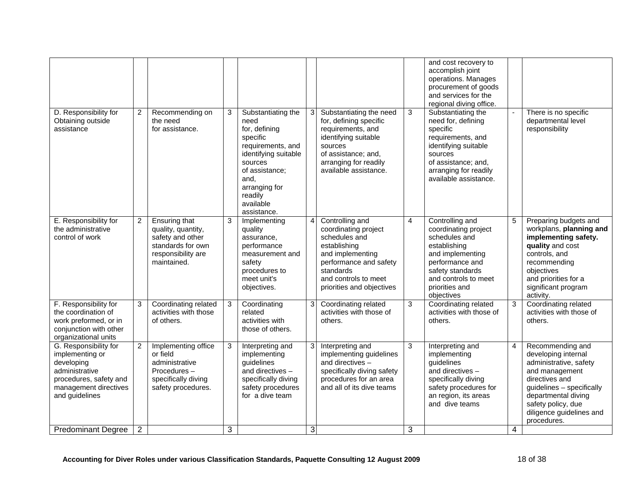|                                                                                                                                               |                |                                                                                                                   |   |                                                                                                                                                                                                   |   |                                                                                                                                                                                          |                | and cost recovery to<br>accomplish joint<br>operations. Manages<br>procurement of goods<br>and services for the<br>regional diving office.                                                  |                |                                                                                                                                                                                                                            |
|-----------------------------------------------------------------------------------------------------------------------------------------------|----------------|-------------------------------------------------------------------------------------------------------------------|---|---------------------------------------------------------------------------------------------------------------------------------------------------------------------------------------------------|---|------------------------------------------------------------------------------------------------------------------------------------------------------------------------------------------|----------------|---------------------------------------------------------------------------------------------------------------------------------------------------------------------------------------------|----------------|----------------------------------------------------------------------------------------------------------------------------------------------------------------------------------------------------------------------------|
| D. Responsibility for<br>Obtaining outside<br>assistance                                                                                      | $\overline{c}$ | Recommending on<br>the need<br>for assistance.                                                                    | 3 | Substantiating the<br>need<br>for, defining<br>specific<br>requirements, and<br>identifying suitable<br>sources<br>of assistance:<br>and.<br>arranging for<br>readily<br>available<br>assistance. | 3 | Substantiating the need<br>for, defining specific<br>requirements, and<br>identifying suitable<br>sources<br>of assistance; and,<br>arranging for readily<br>available assistance.       | 3              | Substantiating the<br>need for, defining<br>specific<br>requirements, and<br>identifying suitable<br>sources<br>of assistance; and,<br>arranging for readily<br>available assistance.       |                | There is no specific<br>departmental level<br>responsibility                                                                                                                                                               |
| E. Responsibility for<br>the administrative<br>control of work                                                                                | $\overline{c}$ | Ensuring that<br>quality, quantity,<br>safety and other<br>standards for own<br>responsibility are<br>maintained. | 3 | Implementing<br>quality<br>assurance,<br>performance<br>measurement and<br>safety<br>procedures to<br>meet unit's<br>objectives.                                                                  |   | Controlling and<br>coordinating project<br>schedules and<br>establishing<br>and implementing<br>performance and safety<br>standards<br>and controls to meet<br>priorities and objectives | $\overline{4}$ | Controlling and<br>coordinating project<br>schedules and<br>establishing<br>and implementing<br>performance and<br>safety standards<br>and controls to meet<br>priorities and<br>objectives | 5              | Preparing budgets and<br>workplans, planning and<br>implementing safety.<br>quality and cost<br>controls, and<br>recommending<br>objectives<br>and priorities for a<br>significant program<br>activity.                    |
| F. Responsibility for<br>the coordination of<br>work preformed, or in<br>conjunction with other<br>organizational units                       | 3              | Coordinating related<br>activities with those<br>of others.                                                       | 3 | Coordinating<br>related<br>activities with<br>those of others.                                                                                                                                    | 3 | Coordinating related<br>activities with those of<br>others.                                                                                                                              | 3              | Coordinating related<br>activities with those of<br>others.                                                                                                                                 | 3              | Coordinating related<br>activities with those of<br>others.                                                                                                                                                                |
| G. Responsibility for<br>implementing or<br>developing<br>administrative<br>procedures, safety and<br>management directives<br>and guidelines | $\overline{c}$ | Implementing office<br>or field<br>administrative<br>Procedures-<br>specifically diving<br>safety procedures.     | 3 | Interpreting and<br>implementing<br>guidelines<br>and directives -<br>specifically diving<br>safety procedures<br>for a dive team                                                                 |   | Interpreting and<br>implementing guidelines<br>and directives -<br>specifically diving safety<br>procedures for an area<br>and all of its dive teams                                     | 3              | Interpreting and<br>implementing<br>guidelines<br>and directives -<br>specifically diving<br>safety procedures for<br>an region, its areas<br>and dive teams                                | 4              | Recommending and<br>developing internal<br>administrative, safety<br>and management<br>directives and<br>guidelines - specifically<br>departmental diving<br>safety policy, due<br>diligence guidelines and<br>procedures. |
| <b>Predominant Degree</b>                                                                                                                     | $\overline{2}$ |                                                                                                                   | 3 |                                                                                                                                                                                                   | 3 |                                                                                                                                                                                          | 3              |                                                                                                                                                                                             | $\overline{4}$ |                                                                                                                                                                                                                            |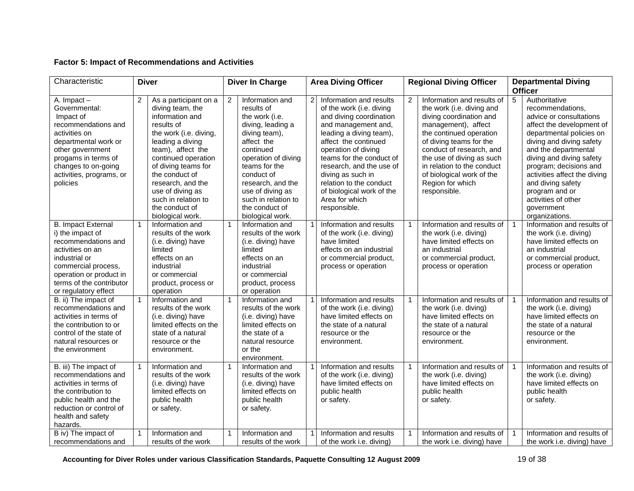# **Factor 5: Impact of Recommendations and Activities**

| Characteristic                                                                                                                                                                                                        |                | <b>Diver</b>                                                                                                                                                                                                                                                                                                        |                | Diver In Charge                                                                                                                                                                                                                                                              |   | <b>Area Diving Officer</b>                                                                                                                                                                                                                                                                                                                             |                | <b>Regional Diving Officer</b>                                                                                                                                                                                                                                                                                          |   | <b>Departmental Diving</b><br><b>Officer</b>                                                                                                                                                                                                                                                                                                                  |
|-----------------------------------------------------------------------------------------------------------------------------------------------------------------------------------------------------------------------|----------------|---------------------------------------------------------------------------------------------------------------------------------------------------------------------------------------------------------------------------------------------------------------------------------------------------------------------|----------------|------------------------------------------------------------------------------------------------------------------------------------------------------------------------------------------------------------------------------------------------------------------------------|---|--------------------------------------------------------------------------------------------------------------------------------------------------------------------------------------------------------------------------------------------------------------------------------------------------------------------------------------------------------|----------------|-------------------------------------------------------------------------------------------------------------------------------------------------------------------------------------------------------------------------------------------------------------------------------------------------------------------------|---|---------------------------------------------------------------------------------------------------------------------------------------------------------------------------------------------------------------------------------------------------------------------------------------------------------------------------------------------------------------|
| A. Impact $-$<br>Governmental:<br>Impact of<br>recommendations and<br>activities on<br>departmental work or<br>other government<br>progams in terms of<br>changes to on-going<br>activities, programs, or<br>policies | $\overline{2}$ | As a participant on a<br>diving team, the<br>information and<br>results of<br>the work (i.e. diving,<br>leading a diving<br>team), affect the<br>continued operation<br>of diving teams for<br>the conduct of<br>research, and the<br>use of diving as<br>such in relation to<br>the conduct of<br>biological work. | $\overline{2}$ | Information and<br>results of<br>the work (i.e.<br>diving, leading a<br>diving team),<br>affect the<br>continued<br>operation of diving<br>teams for the<br>conduct of<br>research, and the<br>use of diving as<br>such in relation to<br>the conduct of<br>biological work. | 2 | Information and results<br>of the work (i.e. diving<br>and diving coordination<br>and management and,<br>leading a diving team),<br>affect the continued<br>operation of diving<br>teams for the conduct of<br>research, and the use of<br>diving as such in<br>relation to the conduct<br>of biological work of the<br>Area for which<br>responsible. | $\overline{2}$ | Information and results of<br>the work (i.e. diving and<br>diving coordination and<br>management), affect<br>the continued operation<br>of diving teams for the<br>conduct of research, and<br>the use of diving as such<br>in relation to the conduct<br>of biological work of the<br>Region for which<br>responsible. | 5 | Authoritative<br>recommendations.<br>advice or consultations<br>affect the development of<br>departmental policies on<br>diving and diving safety<br>and the departmental<br>diving and diving safety<br>program; decisions and<br>activities affect the diving<br>and diving safety<br>program and or<br>activities of other<br>aovernment<br>organizations. |
| <b>B.</b> Impact External<br>i) the impact of<br>recommendations and<br>activities on an<br>industrial or<br>commercial process,<br>operation or product in<br>terms of the contributor<br>or regulatory effect       | $\mathbf{1}$   | Information and<br>results of the work<br>(i.e. diving) have<br>limited<br>effects on an<br>industrial<br>or commercial<br>product, process or<br>operation                                                                                                                                                         | $\mathbf{1}$   | Information and<br>results of the work<br>(i.e. diving) have<br>limited<br>effects on an<br>industrial<br>or commercial<br>product, process<br>or operation                                                                                                                  |   | Information and results<br>of the work (i.e. diving)<br>have limited<br>effects on an industrial<br>or commercial product,<br>process or operation                                                                                                                                                                                                     |                | Information and results of<br>the work (i.e. diving)<br>have limited effects on<br>an industrial<br>or commercial product,<br>process or operation                                                                                                                                                                      |   | Information and results of<br>the work (i.e. diving)<br>have limited effects on<br>an industrial<br>or commercial product,<br>process or operation                                                                                                                                                                                                            |
| B. ii) The impact of<br>recommendations and<br>activities in terms of<br>the contribution to or<br>control of the state of<br>natural resources or<br>the environment                                                 | $\mathbf{1}$   | Information and<br>results of the work<br>(i.e. diving) have<br>limited effects on the<br>state of a natural<br>resource or the<br>environment.                                                                                                                                                                     | $\mathbf{1}$   | Information and<br>results of the work<br>(i.e. diving) have<br>limited effects on<br>the state of a<br>natural resource<br>or the<br>environment.                                                                                                                           |   | Information and results<br>of the work (i.e. diving)<br>have limited effects on<br>the state of a natural<br>resource or the<br>environment.                                                                                                                                                                                                           |                | Information and results of<br>the work (i.e. diving)<br>have limited effects on<br>the state of a natural<br>resource or the<br>environment.                                                                                                                                                                            |   | Information and results of<br>the work (i.e. diving)<br>have limited effects on<br>the state of a natural<br>resource or the<br>environment.                                                                                                                                                                                                                  |
| B. iii) The impact of<br>recommendations and<br>activities in terms of<br>the contribution to<br>public health and the<br>reduction or control of<br>health and safety<br>hazards.                                    | $\mathbf{1}$   | Information and<br>results of the work<br>(i.e. diving) have<br>limited effects on<br>public health<br>or safety.                                                                                                                                                                                                   | $\mathbf{1}$   | Information and<br>results of the work<br>(i.e. diving) have<br>limited effects on<br>public health<br>or safety.                                                                                                                                                            |   | Information and results<br>of the work (i.e. diving)<br>have limited effects on<br>public health<br>or safety.                                                                                                                                                                                                                                         |                | Information and results of<br>the work (i.e. diving)<br>have limited effects on<br>public health<br>or safety.                                                                                                                                                                                                          |   | Information and results of<br>the work (i.e. diving)<br>have limited effects on<br>public health<br>or safety.                                                                                                                                                                                                                                                |
| B iv) The impact of<br>recommendations and                                                                                                                                                                            | $\mathbf{1}$   | Information and<br>results of the work                                                                                                                                                                                                                                                                              | $\mathbf{1}$   | Information and<br>results of the work                                                                                                                                                                                                                                       |   | Information and results<br>of the work i.e. diving)                                                                                                                                                                                                                                                                                                    |                | Information and results of<br>the work i.e. diving) have                                                                                                                                                                                                                                                                |   | Information and results of<br>the work i.e. diving) have                                                                                                                                                                                                                                                                                                      |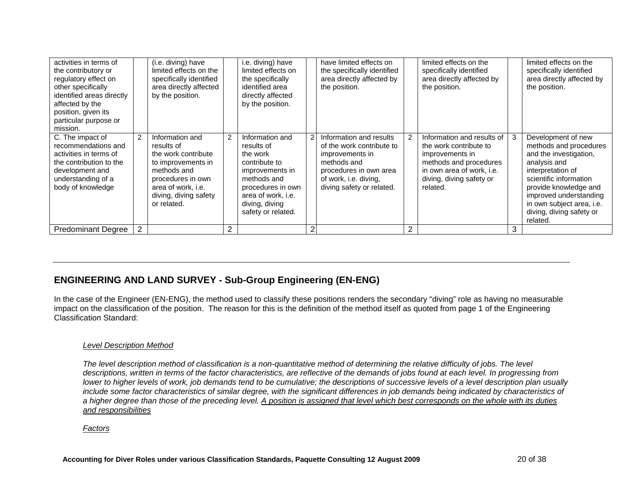| activities in terms of<br>the contributory or<br>regulatory effect on<br>other specifically<br>identified areas directly<br>affected by the<br>position, given its<br>particular purpose or<br>mission. |                | (i.e. diving) have<br>limited effects on the<br>specifically identified<br>area directly affected<br>by the position.                                                        |                | i.e. diving) have<br>limited effects on<br>the specifically<br>identified area<br>directly affected<br>by the position.                                                         |   | have limited effects on<br>the specifically identified<br>area directly affected by<br>the position.                                                                   |   | limited effects on the<br>specifically identified<br>area directly affected by<br>the position.                                                                        |   | limited effects on the<br>specifically identified<br>area directly affected by<br>the position.                                                                                                                                                               |
|---------------------------------------------------------------------------------------------------------------------------------------------------------------------------------------------------------|----------------|------------------------------------------------------------------------------------------------------------------------------------------------------------------------------|----------------|---------------------------------------------------------------------------------------------------------------------------------------------------------------------------------|---|------------------------------------------------------------------------------------------------------------------------------------------------------------------------|---|------------------------------------------------------------------------------------------------------------------------------------------------------------------------|---|---------------------------------------------------------------------------------------------------------------------------------------------------------------------------------------------------------------------------------------------------------------|
| C. The impact of<br>recommendations and<br>activities in terms of<br>the contribution to the<br>development and<br>understanding of a<br>body of knowledge                                              | $\overline{2}$ | Information and<br>results of<br>the work contribute<br>to improvements in<br>methods and<br>procedures in own<br>area of work, i.e.<br>diving, diving safety<br>or related. | $\overline{2}$ | Information and<br>results of<br>the work<br>contribute to<br>improvements in<br>methods and<br>procedures in own<br>area of work, i.e.<br>diving, diving<br>safety or related. |   | Information and results<br>of the work contribute to<br>improvements in<br>methods and<br>procedures in own area<br>of work, i.e. diving,<br>diving safety or related. |   | Information and results of<br>the work contribute to<br>improvements in<br>methods and procedures<br>in own area of work, i.e.<br>diving, diving safety or<br>related. | 3 | Development of new<br>methods and procedures<br>and the investigation,<br>analysis and<br>interpretation of<br>scientific information<br>provide knowledge and<br>improved understanding<br>in own subject area, i.e.<br>diving, diving safety or<br>related. |
| <b>Predominant Degree</b>                                                                                                                                                                               | $\overline{2}$ |                                                                                                                                                                              | 2              |                                                                                                                                                                                 | っ |                                                                                                                                                                        | 2 |                                                                                                                                                                        | 3 |                                                                                                                                                                                                                                                               |

### **ENGINEERING AND LAND SURVEY - Sub-Group Engineering (EN-ENG)**

In the case of the Engineer (EN-ENG), the method used to classify these positions renders the secondary "diving" role as having no measurable impact on the classification of the position. The reason for this is the definition of the method itself as quoted from page 1 of the Engineering Classification Standard:

#### *Level Description Method*

*The level description method of classification is a non-quantitative method of determining the relative difficulty of jobs. The level descriptions, written in terms of the factor characteristics, are reflective of the demands of jobs found at each level. In progressing from lower to higher levels of work, job demands tend to be cumulative; the descriptions of successive levels of a level description plan usually include some factor characteristics of similar degree, with the significant differences in job demands being indicated by characteristics of a higher degree than those of the preceding level. A position is assigned that level which best corresponds on the whole with its duties and responsibilities*

*Factors*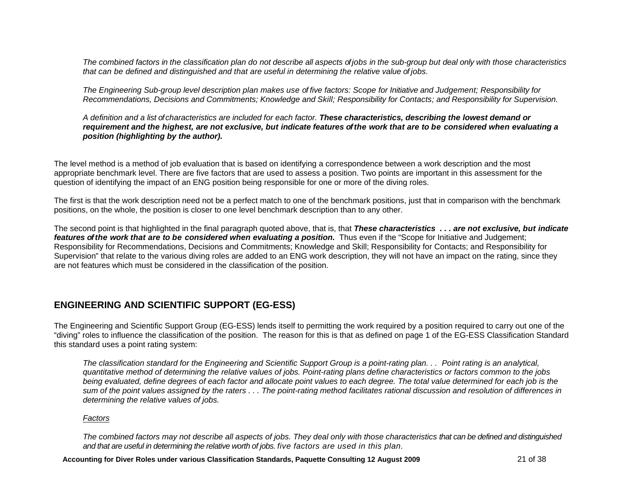*The combined factors in the classification plan do not describe all aspects of jobs in the sub-group but deal only with those characteristics that can be defined and distinguished and that are useful in determining the relative value of jobs.* 

*The Engineering Sub-group level description plan makes use of five factors: Scope for Initiative and Judgement; Responsibility for Recommendations, Decisions and Commitments; Knowledge and Skill; Responsibility for Contacts; and Responsibility for Supervision.* 

*A definition and a list of characteristics are included for each factor. These characteristics, describing the lowest demand or requirement and the highest, are not exclusive, but indicate features of the work that are to be considered when evaluating a position (highlighting by the author).*

The level method is a method of job evaluation that is based on identifying a correspondence between a work description and the most appropriate benchmark level. There are five factors that are used to assess a position. Two points are important in this assessment for the question of identifying the impact of an ENG position being responsible for one or more of the diving roles.

The first is that the work description need not be a perfect match to one of the benchmark positions, just that in comparison with the benchmark positions, on the whole, the position is closer to one level benchmark description than to any other.

The second point is that highlighted in the final paragraph quoted above, that is, that *These characteristics . . . are not exclusive, but indicate*  features of the work that are to be considered when evaluating a position. Thus even if the "Scope for Initiative and Judgement; Responsibility for Recommendations, Decisions and Commitments; Knowledge and Skill; Responsibility for Contacts; and Responsibility for Supervision" that relate to the various diving roles are added to an ENG work description, they will not have an impact on the rating, since they are not features which must be considered in the classification of the position.

# **ENGINEERING AND SCIENTIFIC SUPPORT (EG-ESS)**

The Engineering and Scientific Support Group (EG-ESS) lends itself to permitting the work required by a position required to carry out one of the "diving" roles to influence the classification of the position. The reason for this is that as defined on page 1 of the EG-ESS Classification Standard this standard uses a point rating system:

*The classification standard for the Engineering and Scientific Support Group is a point-rating plan. . . Point rating is an analytical, quantitative method of determining the relative values of jobs. Point-rating plans define characteristics or factors common to the jobs being evaluated, define degrees of each factor and allocate point values to each degree. The total value determined for each job is the sum of the point values assigned by the raters . . . The point-rating method facilitates rational discussion and resolution of differences in determining the relative values of jobs.* 

#### *Factors*

*The combined factors may not describe all aspects of jobs. They deal only with those characteristics that can be defined and distinguished and that are useful in determining the relative worth of jobs. five factors are used in this plan.* 

**Accounting for Diver Roles under various Classification Standards, Paquette Consulting 12 August 2009** 21 of 38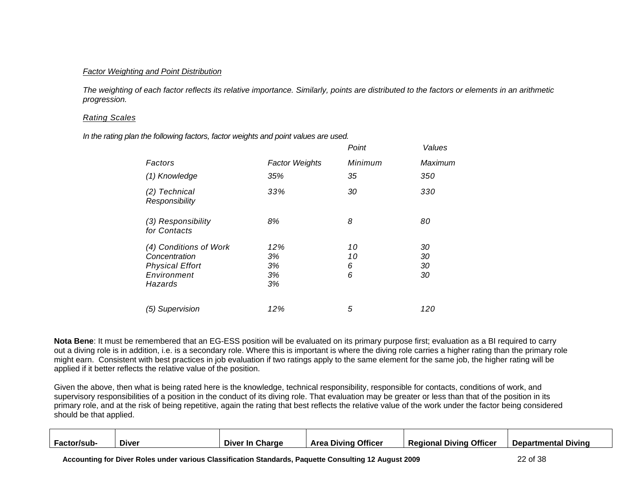#### *Factor Weighting and Point Distribution*

*The weighting of each factor reflects its relative importance. Similarly, points are distributed to the factors or elements in an arithmetic progression.* 

#### *Rating Scales*

*In the rating plan the following factors, factor weights and point values are used.* 

|                                         |                       | Point    | Values   |
|-----------------------------------------|-----------------------|----------|----------|
| Factors                                 | <b>Factor Weights</b> | Minimum  | Maximum  |
| (1) Knowledge                           | 35%                   | 35       | 350      |
| (2) Technical<br>Responsibility         | 33%                   | 30       | 330      |
| (3) Responsibility<br>for Contacts      | 8%                    | 8        | 80       |
| (4) Conditions of Work<br>Concentration | 12%<br>3%             | 10<br>10 | 30<br>30 |
| <b>Physical Effort</b>                  | 3%                    | 6        | 30       |
| Environment                             | 3%                    | 6        | 30       |
| Hazards                                 | 3%                    |          |          |
| (5) Supervision                         | 12%                   | 5        | 120      |

**Nota Bene**: It must be remembered that an EG-ESS position will be evaluated on its primary purpose first; evaluation as a BI required to carry out a diving role is in addition, i.e. is a secondary role. Where this is important is where the diving role carries a higher rating than the primary role might earn. Consistent with best practices in job evaluation if two ratings apply to the same element for the same job, the higher rating will be applied if it better reflects the relative value of the position.

Given the above, then what is being rated here is the knowledge, technical responsibility, responsible for contacts, conditions of work, and supervisory responsibilities of a position in the conduct of its diving role. That evaluation may be greater or less than that of the position in its primary role, and at the risk of being repetitive, again the rating that best reflects the relative value of the work under the factor being considered should be that applied.

| <b>Factor/sub-</b> | <b>Diver</b> | Diver In Charge | <b>Officer</b><br><b>Area Diving</b> | <b>Regional Diving Officer</b> | <b>Departmental Diving</b> |
|--------------------|--------------|-----------------|--------------------------------------|--------------------------------|----------------------------|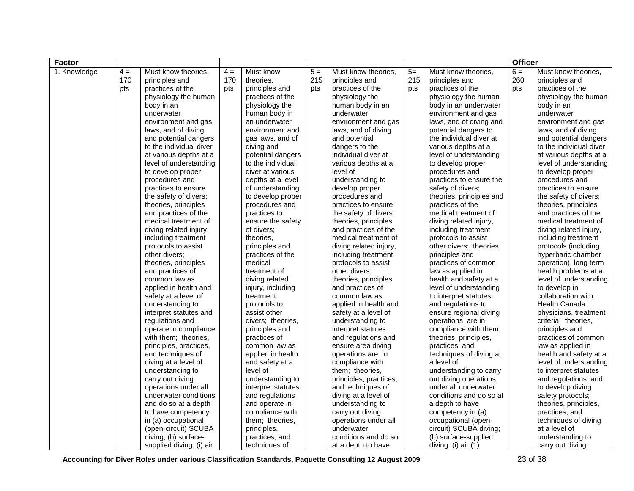| <b>Factor</b> |       |                                           |       |                                      |       |                                           |      |                                         | <b>Officer</b> |                                                  |
|---------------|-------|-------------------------------------------|-------|--------------------------------------|-------|-------------------------------------------|------|-----------------------------------------|----------------|--------------------------------------------------|
| 1. Knowledge  | $4 =$ | Must know theories,                       | $4 =$ | Must know                            | $5 =$ | Must know theories.                       | $5=$ | Must know theories,                     | $6 =$          | Must know theories,                              |
|               | 170   | principles and                            | 170   | theories.                            | 215   | principles and                            | 215  | principles and                          | 260            | principles and                                   |
|               | pts   | practices of the                          | pts   | principles and                       | pts   | practices of the                          | pts  | practices of the                        | pts            | practices of the                                 |
|               |       | physiology the human                      |       | practices of the                     |       | physiology the                            |      | physiology the human                    |                | physiology the human                             |
|               |       | body in an                                |       | physiology the                       |       | human body in an                          |      | body in an underwater                   |                | body in an                                       |
|               |       | underwater                                |       | human body in                        |       | underwater                                |      | environment and gas                     |                | underwater                                       |
|               |       | environment and gas                       |       | an underwater                        |       | environment and gas                       |      | laws, and of diving and                 |                | environment and gas                              |
|               |       | laws, and of diving                       |       | environment and                      |       | laws, and of diving                       |      | potential dangers to                    |                | laws, and of diving                              |
|               |       | and potential dangers                     |       | gas laws, and of                     |       | and potential                             |      | the individual diver at                 |                | and potential dangers                            |
|               |       | to the individual diver                   |       | diving and                           |       | dangers to the                            |      | various depths at a                     |                | to the individual diver                          |
|               |       | at various depths at a                    |       | potential dangers                    |       | individual diver at                       |      | level of understanding                  |                | at various depths at a                           |
|               |       | level of understanding                    |       | to the individual                    |       | various depths at a                       |      | to develop proper                       |                | level of understanding                           |
|               |       | to develop proper                         |       | diver at various                     |       | level of                                  |      | procedures and                          |                | to develop proper                                |
|               |       | procedures and                            |       | depths at a level                    |       | understanding to                          |      | practices to ensure the                 |                | procedures and                                   |
|               |       | practices to ensure                       |       | of understanding                     |       | develop proper                            |      | safety of divers;                       |                | practices to ensure                              |
|               |       | the safety of divers;                     |       | to develop proper                    |       | procedures and                            |      | theories, principles and                |                | the safety of divers;                            |
|               |       | theories, principles                      |       | procedures and                       |       | practices to ensure                       |      | practices of the                        |                | theories, principles                             |
|               |       | and practices of the                      |       | practices to                         |       | the safety of divers;                     |      | medical treatment of                    |                | and practices of the                             |
|               |       | medical treatment of                      |       | ensure the safety                    |       | theories, principles                      |      | diving related injury,                  |                | medical treatment of                             |
|               |       | diving related injury,                    |       | of divers:                           |       | and practices of the                      |      | including treatment                     |                | diving related injury,                           |
|               |       | including treatment                       |       | theories.                            |       | medical treatment of                      |      | protocols to assist                     |                | including treatment                              |
|               |       | protocols to assist                       |       | principles and                       |       | diving related injury,                    |      | other divers; theories,                 |                | protocols (including                             |
|               |       | other divers:                             |       | practices of the                     |       | including treatment                       |      | principles and                          |                | hyperbaric chamber                               |
|               |       | theories, principles                      |       | medical                              |       | protocols to assist                       |      | practices of common                     |                | operation), long term                            |
|               |       | and practices of                          |       | treatment of                         |       | other divers:                             |      | law as applied in                       |                | health problems at a                             |
|               |       | common law as                             |       | diving related                       |       | theories, principles                      |      | health and safety at a                  |                | level of understanding                           |
|               |       | applied in health and                     |       | injury, including                    |       | and practices of                          |      | level of understanding                  |                | to develop in                                    |
|               |       | safety at a level of                      |       | treatment                            |       | common law as                             |      | to interpret statutes                   |                | collaboration with                               |
|               |       | understanding to                          |       | protocols to                         |       | applied in health and                     |      | and regulations to                      |                | Health Canada                                    |
|               |       | interpret statutes and                    |       | assist other                         |       | safety at a level of                      |      | ensure regional diving                  |                | physicians, treatment                            |
|               |       | regulations and                           |       | divers; theories,                    |       | understanding to                          |      | operations are in                       |                | criteria; theories,                              |
|               |       | operate in compliance                     |       | principles and                       |       | interpret statutes                        |      | compliance with them;                   |                | principles and                                   |
|               |       | with them; theories,                      |       | practices of<br>common law as        |       | and regulations and<br>ensure area diving |      | theories, principles,<br>practices, and |                | practices of common<br>law as applied in         |
|               |       | principles, practices,                    |       |                                      |       |                                           |      |                                         |                |                                                  |
|               |       | and techniques of<br>diving at a level of |       | applied in health<br>and safety at a |       | operations are in<br>compliance with      |      | techniques of diving at<br>a level of   |                | health and safety at a<br>level of understanding |
|               |       | understanding to                          |       | level of                             |       | them; theories,                           |      | understanding to carry                  |                | to interpret statutes                            |
|               |       | carry out diving                          |       | understanding to                     |       | principles, practices,                    |      | out diving operations                   |                | and regulations, and                             |
|               |       | operations under all                      |       | interpret statutes                   |       | and techniques of                         |      | under all underwater                    |                | to develop diving                                |
|               |       | underwater conditions                     |       | and regulations                      |       | diving at a level of                      |      | conditions and do so at                 |                | safety protocols;                                |
|               |       | and do so at a depth                      |       | and operate in                       |       | understanding to                          |      | a depth to have                         |                | theories, principles,                            |
|               |       | to have competency                        |       | compliance with                      |       | carry out diving                          |      | competency in (a)                       |                | practices, and                                   |
|               |       | in (a) occupational                       |       | them; theories,                      |       | operations under all                      |      | occupational (open-                     |                | techniques of diving                             |
|               |       | (open-circuit) SCUBA                      |       | principles,                          |       | underwater                                |      | circuit) SCUBA diving;                  |                | at a level of                                    |
|               |       | diving; (b) surface-                      |       | practices, and                       |       | conditions and do so                      |      | (b) surface-supplied                    |                | understanding to                                 |
|               |       | supplied diving: (i) air                  |       | techniques of                        |       | at a depth to have                        |      | diving: $(i)$ air $(1)$                 |                | carry out diving                                 |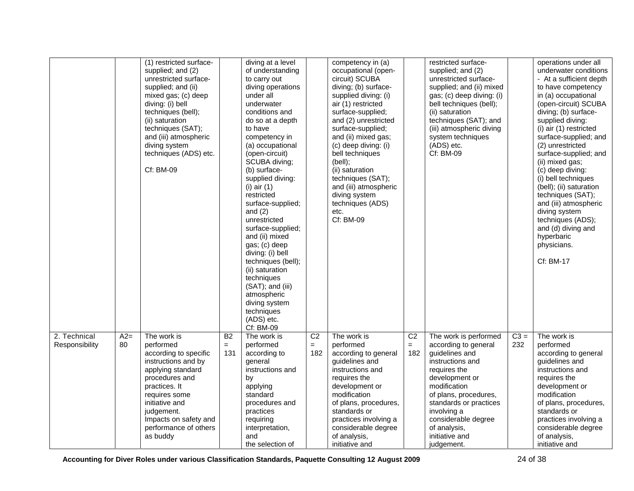|                                |             | (1) restricted surface-<br>supplied; and (2)<br>unrestricted surface-<br>supplied; and (ii)<br>mixed gas; (c) deep<br>diving: (i) bell<br>techniques (bell);<br>(ii) saturation<br>techniques (SAT);<br>and (iii) atmospheric<br>diving system<br>techniques (ADS) etc.<br>Cf: BM-09 |                         | diving at a level<br>of understanding<br>to carry out<br>diving operations<br>under all<br>underwater<br>conditions and<br>do so at a depth<br>to have<br>competency in<br>(a) occupational<br>(open-circuit)<br>SCUBA diving;<br>(b) surface-<br>supplied diving:<br>$(i)$ air $(1)$<br>restricted<br>surface-supplied;<br>and $(2)$<br>unrestricted<br>surface-supplied;<br>and (ii) mixed<br>gas; (c) deep<br>diving: (i) bell<br>techniques (bell);<br>(ii) saturation<br>techniques<br>(SAT); and (iii)<br>atmospheric<br>diving system<br>techniques<br>(ADS) etc.<br>Cf: BM-09 |                              | competency in (a)<br>occupational (open-<br>circuit) SCUBA<br>diving; (b) surface-<br>supplied diving: (i)<br>air (1) restricted<br>surface-supplied;<br>and (2) unrestricted<br>surface-supplied;<br>and (ii) mixed gas;<br>(c) deep diving: (i)<br>bell techniques<br>(bell);<br>(ii) saturation<br>techniques (SAT);<br>and (iii) atmospheric<br>diving system<br>techniques (ADS)<br>etc.<br>Cf: BM-09 |                                   | restricted surface-<br>supplied; and (2)<br>unrestricted surface-<br>supplied; and (ii) mixed<br>gas; (c) deep diving: (i)<br>bell techniques (bell);<br>(ii) saturation<br>techniques (SAT); and<br>(iii) atmospheric diving<br>system techniques<br>(ADS) etc.<br>Cf: BM-09  |               | operations under all<br>underwater conditions<br>- At a sufficient depth<br>to have competency<br>in (a) occupational<br>(open-circuit) SCUBA<br>diving; (b) surface-<br>supplied diving:<br>(i) air (1) restricted<br>surface-supplied; and<br>(2) unrestricted<br>surface-supplied; and<br>(ii) mixed gas;<br>(c) deep diving:<br>(i) bell techniques<br>(bell); (ii) saturation<br>techniques (SAT);<br>and (iii) atmospheric<br>diving system<br>techniques (ADS);<br>and (d) diving and<br>hyperbaric<br>physicians.<br>Cf: BM-17 |
|--------------------------------|-------------|--------------------------------------------------------------------------------------------------------------------------------------------------------------------------------------------------------------------------------------------------------------------------------------|-------------------------|---------------------------------------------------------------------------------------------------------------------------------------------------------------------------------------------------------------------------------------------------------------------------------------------------------------------------------------------------------------------------------------------------------------------------------------------------------------------------------------------------------------------------------------------------------------------------------------|------------------------------|------------------------------------------------------------------------------------------------------------------------------------------------------------------------------------------------------------------------------------------------------------------------------------------------------------------------------------------------------------------------------------------------------------|-----------------------------------|--------------------------------------------------------------------------------------------------------------------------------------------------------------------------------------------------------------------------------------------------------------------------------|---------------|----------------------------------------------------------------------------------------------------------------------------------------------------------------------------------------------------------------------------------------------------------------------------------------------------------------------------------------------------------------------------------------------------------------------------------------------------------------------------------------------------------------------------------------|
| 2. Technical<br>Responsibility | $A2=$<br>80 | The work is<br>performed<br>according to specific<br>instructions and by<br>applying standard<br>procedures and<br>practices. It<br>requires some<br>initiative and<br>judgement.<br>Impacts on safety and<br>performance of others<br>as buddy                                      | <b>B2</b><br>$=$<br>131 | The work is<br>performed<br>according to<br>general<br>instructions and<br>by<br>applying<br>standard<br>procedures and<br>practices<br>requiring<br>interpretation,<br>and<br>the selection of                                                                                                                                                                                                                                                                                                                                                                                       | C <sub>2</sub><br>$=$<br>182 | The work is<br>performed<br>according to general<br>guidelines and<br>instructions and<br>requires the<br>development or<br>modification<br>of plans, procedures,<br>standards or<br>practices involving a<br>considerable degree<br>of analysis,<br>initiative and                                                                                                                                        | C <sub>2</sub><br>$\equiv$<br>182 | The work is performed<br>according to general<br>quidelines and<br>instructions and<br>requires the<br>development or<br>modification<br>of plans, procedures,<br>standards or practices<br>involving a<br>considerable degree<br>of analysis,<br>initiative and<br>judgement. | $C3 =$<br>232 | The work is<br>performed<br>according to general<br>guidelines and<br>instructions and<br>requires the<br>development or<br>modification<br>of plans, procedures,<br>standards or<br>practices involving a<br>considerable degree<br>of analysis,<br>initiative and                                                                                                                                                                                                                                                                    |

**Accounting for Diver Roles under various Classification Standards, Paquette Consulting 12 August 2009** 24 of 38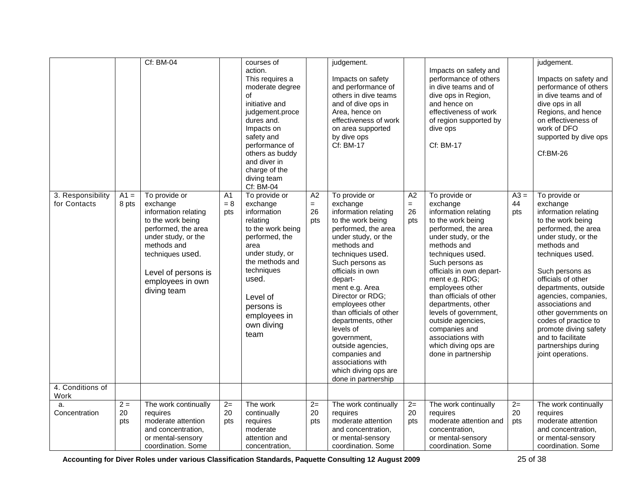|                                                 |                 | Cf: BM-04                                                                                                                                                                                                         |                                | courses of<br>action.<br>This requires a<br>moderate degree<br>of<br>initiative and<br>judgement.proce<br>dures and.<br>Impacts on<br>safety and<br>performance of<br>others as buddy<br>and diver in<br>charge of the<br>diving team<br>Cf: BM-04 |                        | judgement.<br>Impacts on safety<br>and performance of<br>others in dive teams<br>and of dive ops in<br>Area, hence on<br>effectiveness of work<br>on area supported<br>by dive ops<br>Cf: BM-17                                                                                                                                                                                                                                                           |                             | Impacts on safety and<br>performance of others<br>in dive teams and of<br>dive ops in Region,<br>and hence on<br>effectiveness of work<br>of region supported by<br>dive ops<br>Cf: BM-17                                                                                                                                                                                                                                       |                     | judgement.<br>Impacts on safety and<br>performance of others<br>in dive teams and of<br>dive ops in all<br>Regions, and hence<br>on effectiveness of<br>work of DFO<br>supported by dive ops<br>Cf:BM-26                                                                                                                                                                                                       |
|-------------------------------------------------|-----------------|-------------------------------------------------------------------------------------------------------------------------------------------------------------------------------------------------------------------|--------------------------------|----------------------------------------------------------------------------------------------------------------------------------------------------------------------------------------------------------------------------------------------------|------------------------|-----------------------------------------------------------------------------------------------------------------------------------------------------------------------------------------------------------------------------------------------------------------------------------------------------------------------------------------------------------------------------------------------------------------------------------------------------------|-----------------------------|---------------------------------------------------------------------------------------------------------------------------------------------------------------------------------------------------------------------------------------------------------------------------------------------------------------------------------------------------------------------------------------------------------------------------------|---------------------|----------------------------------------------------------------------------------------------------------------------------------------------------------------------------------------------------------------------------------------------------------------------------------------------------------------------------------------------------------------------------------------------------------------|
| 3. Responsibility<br>for Contacts               | $A1 =$<br>8 pts | To provide or<br>exchange<br>information relating<br>to the work being<br>performed, the area<br>under study, or the<br>methods and<br>techniques used.<br>Level of persons is<br>employees in own<br>diving team | A <sub>1</sub><br>$= 8$<br>pts | To provide or<br>exchange<br>information<br>relating<br>to the work being<br>performed, the<br>area<br>under study, or<br>the methods and<br>techniques<br>used.<br>Level of<br>persons is<br>employees in<br>own diving<br>team                   | A2<br>$=$<br>26<br>pts | To provide or<br>exchange<br>information relating<br>to the work being<br>performed, the area<br>under study, or the<br>methods and<br>techniques used.<br>Such persons as<br>officials in own<br>depart-<br>ment e.g. Area<br>Director or RDG;<br>employees other<br>than officials of other<br>departments, other<br>levels of<br>government,<br>outside agencies,<br>companies and<br>associations with<br>which diving ops are<br>done in partnership | A2<br>$\equiv$<br>26<br>pts | To provide or<br>exchange<br>information relating<br>to the work being<br>performed, the area<br>under study, or the<br>methods and<br>techniques used.<br>Such persons as<br>officials in own depart-<br>ment e.g. RDG;<br>employees other<br>than officials of other<br>departments, other<br>levels of government,<br>outside agencies,<br>companies and<br>associations with<br>which diving ops are<br>done in partnership | $A3 =$<br>44<br>pts | To provide or<br>exchange<br>information relating<br>to the work being<br>performed, the area<br>under study, or the<br>methods and<br>techniques used.<br>Such persons as<br>officials of other<br>departments, outside<br>agencies, companies,<br>associations and<br>other governments on<br>codes of practice to<br>promote diving safety<br>and to facilitate<br>partnerships during<br>joint operations. |
| 4. Conditions of<br>Work<br>a.<br>Concentration | $2 =$<br>20     | The work continually<br>requires                                                                                                                                                                                  | $2=$<br>20                     | The work<br>continually                                                                                                                                                                                                                            | $2 =$<br>20            | The work continually<br>requires                                                                                                                                                                                                                                                                                                                                                                                                                          | $2 =$<br>20                 | The work continually<br>requires                                                                                                                                                                                                                                                                                                                                                                                                | $2 =$<br>20         | The work continually<br>requires                                                                                                                                                                                                                                                                                                                                                                               |
|                                                 | pts             | moderate attention<br>and concentration,<br>or mental-sensory<br>coordination. Some                                                                                                                               | pts                            | requires<br>moderate<br>attention and<br>concentration                                                                                                                                                                                             | pts                    | moderate attention<br>and concentration.<br>or mental-sensory<br>coordination. Some                                                                                                                                                                                                                                                                                                                                                                       | pts                         | moderate attention and<br>concentration,<br>or mental-sensory<br>coordination. Some                                                                                                                                                                                                                                                                                                                                             | pts                 | moderate attention<br>and concentration,<br>or mental-sensory<br>coordination. Some                                                                                                                                                                                                                                                                                                                            |

**Accounting for Diver Roles under various Classification Standards, Paquette Consulting 12 August 2009** 25 of 38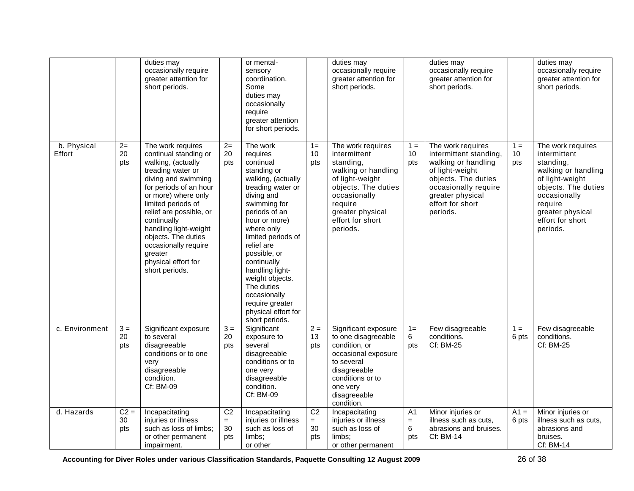|                       |                     | duties may<br>occasionally require<br>greater attention for<br>short periods.                                                                                                                                                                                                                                                                             |                                    | or mental-<br>sensory<br>coordination.<br>Some<br>duties may<br>occasionally<br>require<br>greater attention<br>for short periods.                                                                                                                                                                                                                                           |                                    | duties may<br>occasionally require<br>greater attention for<br>short periods.                                                                                                                  |                                   | duties may<br>occasionally require<br>greater attention for<br>short periods.                                                                                                            |                    | duties may<br>occasionally require<br>greater attention for<br>short periods.                                                                                                                  |
|-----------------------|---------------------|-----------------------------------------------------------------------------------------------------------------------------------------------------------------------------------------------------------------------------------------------------------------------------------------------------------------------------------------------------------|------------------------------------|------------------------------------------------------------------------------------------------------------------------------------------------------------------------------------------------------------------------------------------------------------------------------------------------------------------------------------------------------------------------------|------------------------------------|------------------------------------------------------------------------------------------------------------------------------------------------------------------------------------------------|-----------------------------------|------------------------------------------------------------------------------------------------------------------------------------------------------------------------------------------|--------------------|------------------------------------------------------------------------------------------------------------------------------------------------------------------------------------------------|
| b. Physical<br>Effort | $2=$<br>20<br>pts   | The work requires<br>continual standing or<br>walking, (actually<br>treading water or<br>diving and swimming<br>for periods of an hour<br>or more) where only<br>limited periods of<br>relief are possible, or<br>continually<br>handling light-weight<br>objects. The duties<br>occasionally require<br>greater<br>physical effort for<br>short periods. | $2 =$<br>20<br>pts                 | The work<br>requires<br>continual<br>standing or<br>walking, (actually<br>treading water or<br>diving and<br>swimming for<br>periods of an<br>hour or more)<br>where only<br>limited periods of<br>relief are<br>possible, or<br>continually<br>handling light-<br>weight objects.<br>The duties<br>occasionally<br>require greater<br>physical effort for<br>short periods. | $1 =$<br>10<br>pts                 | The work requires<br>intermittent<br>standing,<br>walking or handling<br>of light-weight<br>objects. The duties<br>occasionally<br>require<br>greater physical<br>effort for short<br>periods. | $1 =$<br>10<br>pts                | The work requires<br>intermittent standing,<br>walking or handling<br>of light-weight<br>objects. The duties<br>occasionally require<br>greater physical<br>effort for short<br>periods. | $1 =$<br>10<br>pts | The work requires<br>intermittent<br>standing,<br>walking or handling<br>of light-weight<br>objects. The duties<br>occasionally<br>require<br>greater physical<br>effort for short<br>periods. |
| c. Environment        | $3 =$<br>20<br>pts  | Significant exposure<br>to several<br>disagreeable<br>conditions or to one<br>very<br>disagreeable<br>condition.<br>Cf: BM-09                                                                                                                                                                                                                             | $3 =$<br>20<br>pts                 | Significant<br>exposure to<br>several<br>disagreeable<br>conditions or to<br>one very<br>disagreeable<br>condition.<br>Cf: BM-09                                                                                                                                                                                                                                             | $2 =$<br>13<br>pts                 | Significant exposure<br>to one disagreeable<br>condition, or<br>occasional exposure<br>to several<br>disagreeable<br>conditions or to<br>one very<br>disagreeable<br>condition.                | $1 =$<br>6<br>pts                 | Few disagreeable<br>conditions.<br>Cf: BM-25                                                                                                                                             | $1 =$<br>6 pts     | Few disagreeable<br>conditions.<br>Cf: BM-25                                                                                                                                                   |
| d. Hazards            | $C2 =$<br>30<br>pts | Incapacitating<br>injuries or illness<br>such as loss of limbs;<br>or other permanent<br>impairment.                                                                                                                                                                                                                                                      | C <sub>2</sub><br>$=$<br>30<br>pts | Incapacitating<br>injuries or illness<br>such as loss of<br>limbs;<br>or other                                                                                                                                                                                                                                                                                               | C <sub>2</sub><br>$=$<br>30<br>pts | Incapacitating<br>injuries or illness<br>such as loss of<br>limbs:<br>or other permanent                                                                                                       | A <sub>1</sub><br>$=$<br>6<br>pts | Minor injuries or<br>illness such as cuts.<br>abrasions and bruises.<br>Cf: BM-14                                                                                                        | $A1 =$<br>6 pts    | Minor injuries or<br>illness such as cuts,<br>abrasions and<br>bruises.<br>Cf: BM-14                                                                                                           |

**Accounting for Diver Roles under various Classification Standards, Paquette Consulting 12 August 2009** 26 of 38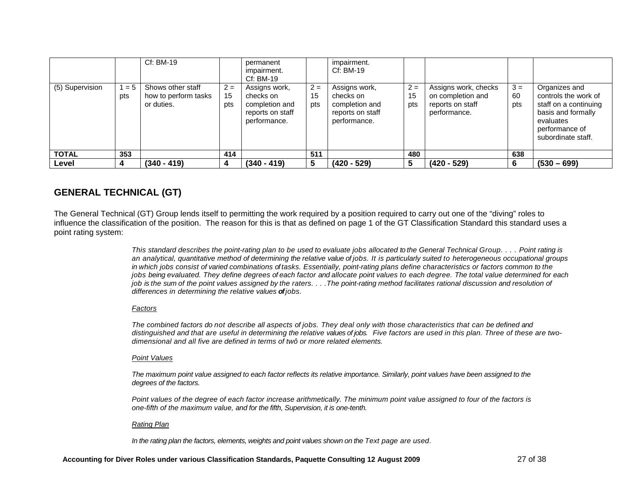|                 |              | Cf: BM-19                                               |                    | permanent<br>impairment.<br>Cf: BM-19                                            |                    | impairment.<br>Cf: BM-19                                                         |                    |                                                                               |                    |                                                                                                                                           |
|-----------------|--------------|---------------------------------------------------------|--------------------|----------------------------------------------------------------------------------|--------------------|----------------------------------------------------------------------------------|--------------------|-------------------------------------------------------------------------------|--------------------|-------------------------------------------------------------------------------------------------------------------------------------------|
| (5) Supervision | $= 5$<br>pts | Shows other staff<br>how to perform tasks<br>or duties. | $2 =$<br>15<br>pts | Assigns work,<br>checks on<br>completion and<br>reports on staff<br>performance. | $2 =$<br>15<br>pts | Assigns work,<br>checks on<br>completion and<br>reports on staff<br>performance. | $2 =$<br>15<br>pts | Assigns work, checks<br>on completion and<br>reports on staff<br>performance. | $3 =$<br>60<br>pts | Organizes and<br>controls the work of<br>staff on a continuing<br>basis and formally<br>evaluates<br>performance of<br>subordinate staff. |
| <b>TOTAL</b>    | 353          |                                                         | 414                |                                                                                  | 511                |                                                                                  | 480                |                                                                               | 638                |                                                                                                                                           |
| Level           | 4            | $(340 - 419)$                                           | 4                  | $(340 - 419)$                                                                    | 5                  | $(420 - 529)$                                                                    | 5                  | $(420 - 529)$                                                                 |                    | $(530 - 699)$                                                                                                                             |

# **GENERAL TECHNICAL (GT)**

The General Technical (GT) Group lends itself to permitting the work required by a position required to carry out one of the "diving" roles to influence the classification of the position. The reason for this is that as defined on page 1 of the GT Classification Standard this standard uses a point rating system:

> *This standard describes the point-rating plan to be used to evaluate jobs allocated to the General Technical Group. . . . Point rating is an analytical, quantitative method of determining the relative value of jobs. It is particularly suited to heterogeneous occupational groups in which jobs consist of varied combinations of tasks. Essentially, point-rating plans define characteristics or factors common to the jobs being evaluated. They define degrees of each factor and allocate point values to each degree. The total value determined for each job is the sum of the point values assigned by the raters. . . .The point-rating method facilitates rational discussion and resolution of differences in determining the relative values of jobs.*

#### *Factors*

*The combined factors do not describe all aspects of jobs. They deal only with those characteristics that can be defined and distinguished and that are useful in determining the relative values of jobs. Five factors are used in this plan. Three of these are twodimensional and all five are defined in terms of twô or more related elements.* 

#### *Point Values*

*The maximum point value assigned to each factor reflects its relative importance. Similarly, point values have been assigned to the degrees of the factors.* 

*Point values of the degree of each factor increase arithmetically. The minimum point value assigned to four of the factors is one-fifth of the maximum value, and for the fifth, Supervision, it is one-tenth.* 

#### *Rating Plan*

*In the rating plan the factors, elements, weights and point values shown on the Text page are used*.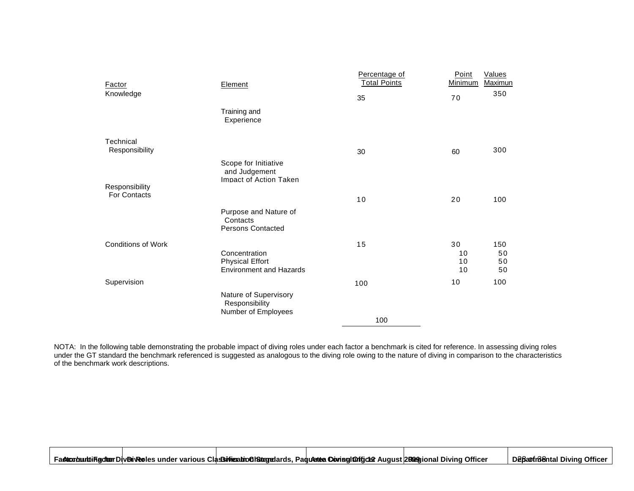| Factor                      | Element                                                                   | Percentage of<br><b>Total Points</b> | Point<br><b>Minimum</b> | Values<br>Maximun     |
|-----------------------------|---------------------------------------------------------------------------|--------------------------------------|-------------------------|-----------------------|
| Knowledge                   |                                                                           | 35                                   | 70                      | 350                   |
|                             | Training and<br>Experience                                                |                                      |                         |                       |
| Technical<br>Responsibility |                                                                           | 30                                   | 60                      | 300                   |
| Responsibility              | Scope for Initiative<br>and Judgement<br>Impact of Action Taken           |                                      |                         |                       |
| <b>For Contacts</b>         |                                                                           | 10                                   | 20                      | 100                   |
|                             | Purpose and Nature of<br>Contacts<br><b>Persons Contacted</b>             |                                      |                         |                       |
| <b>Conditions of Work</b>   | Concentration<br><b>Physical Effort</b><br><b>Environment and Hazards</b> | 15                                   | 30<br>10<br>10<br>10    | 150<br>50<br>50<br>50 |
| Supervision                 |                                                                           | 100                                  | 10                      | 100                   |
|                             | Nature of Supervisory<br>Responsibility<br>Number of Employees            |                                      |                         |                       |
|                             |                                                                           | 100                                  |                         |                       |

NOTA: In the following table demonstrating the probable impact of diving roles under each factor a benchmark is cited for reference. In assessing diving roles under the GT standard the benchmark referenced is suggested as analogous to the diving role owing to the nature of diving in comparison to the characteristics of the benchmark work descriptions.

Τ

Τ

| Fa <b>stcc/autrifiedtorDivBriveo</b> les under various Clas <b>BriteatroCl&amp;tare</b> dards, Pa <b>tuvettea CovisqlOnficts?</b> August 26% Annal Diving Officer |  | Dê Bao trô Botal Diving Officer |
|-------------------------------------------------------------------------------------------------------------------------------------------------------------------|--|---------------------------------|
|                                                                                                                                                                   |  |                                 |

Τ

Τ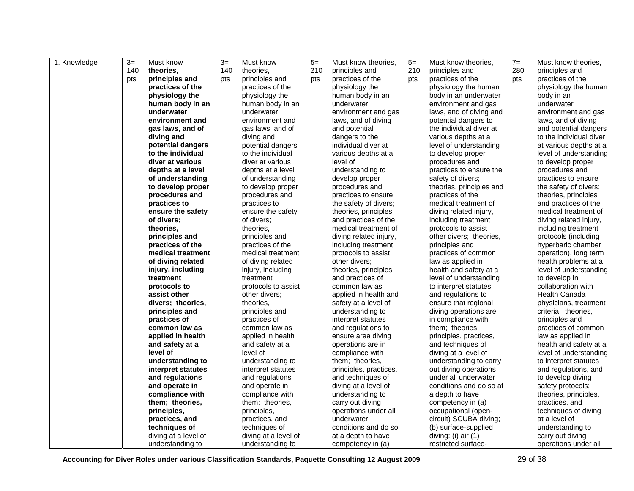| 1. Knowledge | $3=$ | Must know                    | $3=$ | Must know                            | $5=$ | Must know theories.                      | $5=$ | Must know theories.                        | $7=$ | Must know theories,                 |
|--------------|------|------------------------------|------|--------------------------------------|------|------------------------------------------|------|--------------------------------------------|------|-------------------------------------|
|              | 140  | theories,                    | 140  | theories.                            | 210  | principles and                           | 210  | principles and                             | 280  | principles and                      |
|              | pts  | principles and               | pts  | principles and                       | pts  | practices of the                         | pts  | practices of the                           | pts  | practices of the                    |
|              |      | practices of the             |      | practices of the                     |      | physiology the                           |      | physiology the human                       |      | physiology the human                |
|              |      | physiology the               |      | physiology the                       |      | human body in an                         |      | body in an underwater                      |      | body in an                          |
|              |      | human body in an             |      | human body in an                     |      | underwater                               |      | environment and gas                        |      | underwater                          |
|              |      | underwater                   |      | underwater                           |      | environment and gas                      |      | laws, and of diving and                    |      | environment and gas                 |
|              |      | environment and              |      | environment and                      |      | laws, and of diving                      |      | potential dangers to                       |      | laws, and of diving                 |
|              |      | gas laws, and of             |      | gas laws, and of                     |      | and potential                            |      | the individual diver at                    |      | and potential dangers               |
|              |      | diving and                   |      | diving and                           |      | dangers to the                           |      | various depths at a                        |      | to the individual diver             |
|              |      | potential dangers            |      | potential dangers                    |      | individual diver at                      |      | level of understanding                     |      | at various depths at a              |
|              |      | to the individual            |      | to the individual                    |      | various depths at a                      |      | to develop proper                          |      | level of understanding              |
|              |      | diver at various             |      | diver at various                     |      | level of                                 |      | procedures and                             |      | to develop proper                   |
|              |      | depths at a level            |      | depths at a level                    |      | understanding to                         |      | practices to ensure the                    |      | procedures and                      |
|              |      | of understanding             |      | of understanding                     |      | develop proper                           |      | safety of divers;                          |      | practices to ensure                 |
|              |      | to develop proper            |      | to develop proper                    |      | procedures and                           |      | theories, principles and                   |      | the safety of divers;               |
|              |      | procedures and               |      | procedures and                       |      | practices to ensure                      |      | practices of the                           |      | theories, principles                |
|              |      | practices to                 |      | practices to                         |      | the safety of divers;                    |      | medical treatment of                       |      | and practices of the                |
|              |      | ensure the safety            |      | ensure the safety                    |      | theories, principles                     |      | diving related injury,                     |      | medical treatment of                |
|              |      | of divers:                   |      | of divers:                           |      | and practices of the                     |      | including treatment                        |      | diving related injury,              |
|              |      | theories.                    |      | theories.                            |      | medical treatment of                     |      | protocols to assist                        |      | including treatment                 |
|              |      | principles and               |      | principles and                       |      | diving related injury,                   |      | other divers; theories,                    |      | protocols (including                |
|              |      | practices of the             |      | practices of the                     |      | including treatment                      |      | principles and                             |      | hyperbaric chamber                  |
|              |      | medical treatment            |      | medical treatment                    |      | protocols to assist                      |      | practices of common                        |      | operation), long term               |
|              |      | of diving related            |      | of diving related                    |      | other divers:                            |      | law as applied in                          |      | health problems at a                |
|              |      | injury, including            |      | injury, including                    |      | theories, principles                     |      | health and safety at a                     |      | level of understanding              |
|              |      | treatment                    |      | treatment                            |      | and practices of                         |      | level of understanding                     |      | to develop in                       |
|              |      | protocols to<br>assist other |      | protocols to assist<br>other divers; |      | common law as<br>applied in health and   |      | to interpret statutes                      |      | collaboration with<br>Health Canada |
|              |      | divers; theories,            |      | theories.                            |      |                                          |      | and regulations to<br>ensure that regional |      | physicians, treatment               |
|              |      | principles and               |      | principles and                       |      | safety at a level of<br>understanding to |      | diving operations are                      |      | criteria; theories,                 |
|              |      | practices of                 |      | practices of                         |      | interpret statutes                       |      | in compliance with                         |      | principles and                      |
|              |      | common law as                |      | common law as                        |      | and regulations to                       |      | them; theories,                            |      | practices of common                 |
|              |      | applied in health            |      | applied in health                    |      | ensure area diving                       |      | principles, practices,                     |      | law as applied in                   |
|              |      | and safety at a              |      | and safety at a                      |      | operations are in                        |      | and techniques of                          |      | health and safety at a              |
|              |      | level of                     |      | level of                             |      | compliance with                          |      | diving at a level of                       |      | level of understanding              |
|              |      | understanding to             |      | understanding to                     |      | them; theories,                          |      | understanding to carry                     |      | to interpret statutes               |
|              |      | interpret statutes           |      | interpret statutes                   |      | principles, practices,                   |      | out diving operations                      |      | and regulations, and                |
|              |      | and regulations              |      | and regulations                      |      | and techniques of                        |      | under all underwater                       |      | to develop diving                   |
|              |      | and operate in               |      | and operate in                       |      | diving at a level of                     |      | conditions and do so at                    |      | safety protocols;                   |
|              |      | compliance with              |      | compliance with                      |      | understanding to                         |      | a depth to have                            |      | theories, principles,               |
|              |      | them; theories,              |      | them; theories,                      |      | carry out diving                         |      | competency in (a)                          |      | practices, and                      |
|              |      | principles,                  |      | principles,                          |      | operations under all                     |      | occupational (open-                        |      | techniques of diving                |
|              |      | practices, and               |      | practices, and                       |      | underwater                               |      | circuit) SCUBA diving;                     |      | at a level of                       |
|              |      | techniques of                |      | techniques of                        |      | conditions and do so                     |      | (b) surface-supplied                       |      | understanding to                    |
|              |      | diving at a level of         |      | diving at a level of                 |      | at a depth to have                       |      | diving: (i) air (1)                        |      | carry out diving                    |
|              |      | understanding to             |      | understanding to                     |      | competency in (a)                        |      | restricted surface-                        |      | operations under all                |

Accounting for Diver Roles under various Classification Standards, Paquette Consulting 12 August 2009 29 01 38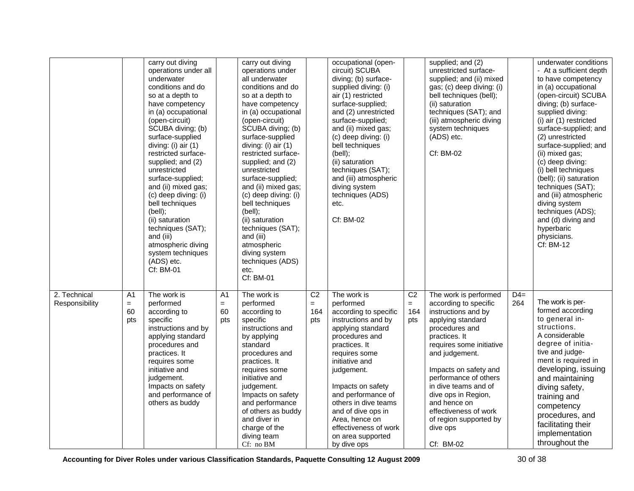|                                |                                                  | carry out diving<br>operations under all<br>underwater<br>conditions and do<br>so at a depth to<br>have competency<br>in (a) occupational<br>(open-circuit)<br>SCUBA diving; (b)<br>surface-supplied<br>diving: $(i)$ air $(1)$<br>restricted surface-<br>supplied; and (2)<br>unrestricted<br>surface-supplied;<br>and (ii) mixed gas;<br>(c) deep diving: (i)<br>bell techniques<br>(bell);<br>(ii) saturation<br>techniques (SAT);<br>and (iii)<br>atmospheric diving<br>system techniques<br>(ADS) etc.<br>Cf: BM-01 |                                         | carry out diving<br>operations under<br>all underwater<br>conditions and do<br>so at a depth to<br>have competency<br>in (a) occupational<br>(open-circuit)<br>SCUBA diving; (b)<br>surface-supplied<br>diving: (i) air (1)<br>restricted surface-<br>supplied; and (2)<br>unrestricted<br>surface-supplied;<br>and (ii) mixed gas;<br>(c) deep diving: (i)<br>bell techniques<br>(bell);<br>(ii) saturation<br>techniques (SAT);<br>and (iii)<br>atmospheric<br>diving system<br>techniques (ADS)<br>etc.<br>Cf: BM-01 |                                      | occupational (open-<br>circuit) SCUBA<br>diving; (b) surface-<br>supplied diving: (i)<br>air (1) restricted<br>surface-supplied;<br>and (2) unrestricted<br>surface-supplied;<br>and (ii) mixed gas;<br>(c) deep diving: (i)<br>bell techniques<br>(bell);<br>(ii) saturation<br>techniques (SAT);<br>and (iii) atmospheric<br>diving system<br>techniques (ADS)<br>etc.<br>Cf: BM-02 |                                     | supplied; and (2)<br>unrestricted surface-<br>supplied; and (ii) mixed<br>gas; (c) deep diving: (i)<br>bell techniques (bell);<br>(ii) saturation<br>techniques (SAT); and<br>(iii) atmospheric diving<br>system techniques<br>(ADS) etc.<br>Cf: BM-02                                                                                                                   |              | underwater conditions<br>- At a sufficient depth<br>to have competency<br>in (a) occupational<br>(open-circuit) SCUBA<br>diving; (b) surface-<br>supplied diving:<br>(i) air (1) restricted<br>surface-supplied; and<br>(2) unrestricted<br>surface-supplied; and<br>(ii) mixed gas;<br>(c) deep diving:<br>(i) bell techniques<br>(bell); (ii) saturation<br>techniques (SAT);<br>and (iii) atmospheric<br>diving system<br>techniques (ADS);<br>and (d) diving and<br>hyperbaric<br>physicians.<br>Cf: BM-12 |
|--------------------------------|--------------------------------------------------|--------------------------------------------------------------------------------------------------------------------------------------------------------------------------------------------------------------------------------------------------------------------------------------------------------------------------------------------------------------------------------------------------------------------------------------------------------------------------------------------------------------------------|-----------------------------------------|-------------------------------------------------------------------------------------------------------------------------------------------------------------------------------------------------------------------------------------------------------------------------------------------------------------------------------------------------------------------------------------------------------------------------------------------------------------------------------------------------------------------------|--------------------------------------|---------------------------------------------------------------------------------------------------------------------------------------------------------------------------------------------------------------------------------------------------------------------------------------------------------------------------------------------------------------------------------------|-------------------------------------|--------------------------------------------------------------------------------------------------------------------------------------------------------------------------------------------------------------------------------------------------------------------------------------------------------------------------------------------------------------------------|--------------|----------------------------------------------------------------------------------------------------------------------------------------------------------------------------------------------------------------------------------------------------------------------------------------------------------------------------------------------------------------------------------------------------------------------------------------------------------------------------------------------------------------|
| 2. Technical<br>Responsibility | A <sub>1</sub><br>$\qquad \qquad =$<br>60<br>pts | The work is<br>performed<br>according to<br>specific<br>instructions and by<br>applying standard<br>procedures and<br>practices. It<br>requires some<br>initiative and<br>judgement.<br>Impacts on safety<br>and performance of<br>others as buddy                                                                                                                                                                                                                                                                       | A <sub>1</sub><br>$\equiv$<br>60<br>pts | The work is<br>performed<br>according to<br>specific<br>instructions and<br>by applying<br>standard<br>procedures and<br>practices. It<br>requires some<br>initiative and<br>judgement.<br>Impacts on safety<br>and performance<br>of others as buddy<br>and diver in<br>charge of the<br>diving team<br>Cf: no BM                                                                                                                                                                                                      | $\overline{C2}$<br>$=$<br>164<br>pts | The work is<br>performed<br>according to specific<br>instructions and by<br>applying standard<br>procedures and<br>practices. It<br>requires some<br>initiative and<br>judgement.<br>Impacts on safety<br>and performance of<br>others in dive teams<br>and of dive ops in<br>Area, hence on<br>effectiveness of work<br>on area supported<br>by dive ops                             | C <sub>2</sub><br>$=$<br>164<br>pts | The work is performed<br>according to specific<br>instructions and by<br>applying standard<br>procedures and<br>practices. It<br>requires some initiative<br>and judgement.<br>Impacts on safety and<br>performance of others<br>in dive teams and of<br>dive ops in Region,<br>and hence on<br>effectiveness of work<br>of region supported by<br>dive ops<br>Cf: BM-02 | $D4=$<br>264 | The work is per-<br>formed according<br>to general in-<br>structions.<br>A considerable<br>degree of initia-<br>tive and judge-<br>ment is required in<br>developing, issuing<br>and maintaining<br>diving safety,<br>training and<br>competency<br>procedures, and<br>facilitating their<br>implementation<br>throughout the                                                                                                                                                                                  |

**Accounting for Diver Roles under various Classification Standards, Paquette Consulting 12 August 2009** 30 of 38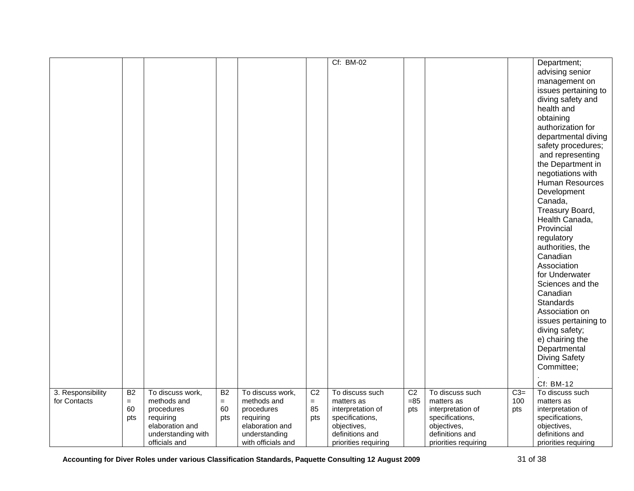|                   |           |                    |                |                    |                | Cf: BM-02            |                |                      |       | Department;            |
|-------------------|-----------|--------------------|----------------|--------------------|----------------|----------------------|----------------|----------------------|-------|------------------------|
|                   |           |                    |                |                    |                |                      |                |                      |       | advising senior        |
|                   |           |                    |                |                    |                |                      |                |                      |       | management on          |
|                   |           |                    |                |                    |                |                      |                |                      |       | issues pertaining to   |
|                   |           |                    |                |                    |                |                      |                |                      |       |                        |
|                   |           |                    |                |                    |                |                      |                |                      |       | diving safety and      |
|                   |           |                    |                |                    |                |                      |                |                      |       | health and             |
|                   |           |                    |                |                    |                |                      |                |                      |       | obtaining              |
|                   |           |                    |                |                    |                |                      |                |                      |       | authorization for      |
|                   |           |                    |                |                    |                |                      |                |                      |       | departmental diving    |
|                   |           |                    |                |                    |                |                      |                |                      |       | safety procedures;     |
|                   |           |                    |                |                    |                |                      |                |                      |       | and representing       |
|                   |           |                    |                |                    |                |                      |                |                      |       | the Department in      |
|                   |           |                    |                |                    |                |                      |                |                      |       | negotiations with      |
|                   |           |                    |                |                    |                |                      |                |                      |       | <b>Human Resources</b> |
|                   |           |                    |                |                    |                |                      |                |                      |       | Development            |
|                   |           |                    |                |                    |                |                      |                |                      |       | Canada,                |
|                   |           |                    |                |                    |                |                      |                |                      |       | Treasury Board,        |
|                   |           |                    |                |                    |                |                      |                |                      |       | Health Canada,         |
|                   |           |                    |                |                    |                |                      |                |                      |       | Provincial             |
|                   |           |                    |                |                    |                |                      |                |                      |       | regulatory             |
|                   |           |                    |                |                    |                |                      |                |                      |       | authorities, the       |
|                   |           |                    |                |                    |                |                      |                |                      |       | Canadian               |
|                   |           |                    |                |                    |                |                      |                |                      |       | Association            |
|                   |           |                    |                |                    |                |                      |                |                      |       | for Underwater         |
|                   |           |                    |                |                    |                |                      |                |                      |       | Sciences and the       |
|                   |           |                    |                |                    |                |                      |                |                      |       | Canadian               |
|                   |           |                    |                |                    |                |                      |                |                      |       | Standards              |
|                   |           |                    |                |                    |                |                      |                |                      |       | Association on         |
|                   |           |                    |                |                    |                |                      |                |                      |       | issues pertaining to   |
|                   |           |                    |                |                    |                |                      |                |                      |       | diving safety;         |
|                   |           |                    |                |                    |                |                      |                |                      |       | e) chairing the        |
|                   |           |                    |                |                    |                |                      |                |                      |       | Departmental           |
|                   |           |                    |                |                    |                |                      |                |                      |       | <b>Diving Safety</b>   |
|                   |           |                    |                |                    |                |                      |                |                      |       |                        |
|                   |           |                    |                |                    |                |                      |                |                      |       | Committee;             |
|                   |           |                    |                |                    |                |                      |                |                      |       | Cf: BM-12              |
| 3. Responsibility | <b>B2</b> | To discuss work,   | B <sub>2</sub> | To discuss work,   | C <sub>2</sub> | To discuss such      | C <sub>2</sub> | To discuss such      | $C3=$ | To discuss such        |
| for Contacts      | $\equiv$  | methods and        | $\equiv$       | methods and        | $=$            | matters as           | $= 85$         | matters as           | 100   | matters as             |
|                   | 60        | procedures         | 60             | procedures         | 85             | interpretation of    | pts            | interpretation of    | pts   | interpretation of      |
|                   | pts       | requiring          | pts            | requiring          | pts            | specifications,      |                | specifications,      |       | specifications,        |
|                   |           | elaboration and    |                | elaboration and    |                | objectives,          |                | objectives,          |       | objectives,            |
|                   |           | understanding with |                | understanding      |                | definitions and      |                | definitions and      |       | definitions and        |
|                   |           | officials and      |                | with officials and |                | priorities requiring |                | priorities requiring |       | priorities requiring   |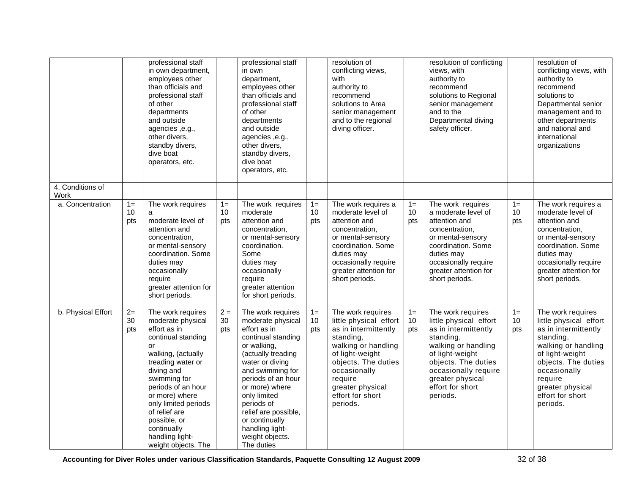|                          |                    | professional staff<br>in own department,<br>employees other<br>than officials and<br>professional staff<br>of other<br>departments<br>and outside<br>agencies, e.g.,<br>other divers,<br>standby divers,<br>dive boat<br>operators, etc.                                                                              |                    | professional staff<br>in own<br>department,<br>employees other<br>than officials and<br>professional staff<br>of other<br>departments<br>and outside<br>agencies, e.g.,<br>other divers,<br>standby divers,<br>dive boat<br>operators, etc.                                                                                  |                    | resolution of<br>conflicting views,<br>with<br>authority to<br>recommend<br>solutions to Area<br>senior management<br>and to the regional<br>diving officer.                                                                     |                    | resolution of conflicting<br>views, with<br>authority to<br>recommend<br>solutions to Regional<br>senior management<br>and to the<br>Departmental diving<br>safety officer.                                                   |                    | resolution of<br>conflicting views, with<br>authority to<br>recommend<br>solutions to<br>Departmental senior<br>management and to<br>other departments<br>and national and<br>international<br>organizations                     |
|--------------------------|--------------------|-----------------------------------------------------------------------------------------------------------------------------------------------------------------------------------------------------------------------------------------------------------------------------------------------------------------------|--------------------|------------------------------------------------------------------------------------------------------------------------------------------------------------------------------------------------------------------------------------------------------------------------------------------------------------------------------|--------------------|----------------------------------------------------------------------------------------------------------------------------------------------------------------------------------------------------------------------------------|--------------------|-------------------------------------------------------------------------------------------------------------------------------------------------------------------------------------------------------------------------------|--------------------|----------------------------------------------------------------------------------------------------------------------------------------------------------------------------------------------------------------------------------|
| 4. Conditions of<br>Work |                    |                                                                                                                                                                                                                                                                                                                       |                    |                                                                                                                                                                                                                                                                                                                              |                    |                                                                                                                                                                                                                                  |                    |                                                                                                                                                                                                                               |                    |                                                                                                                                                                                                                                  |
| a. Concentration         | $1 =$<br>10<br>pts | The work requires<br>a<br>moderate level of<br>attention and<br>concentration,<br>or mental-sensory<br>coordination. Some<br>duties may<br>occasionally<br>require<br>greater attention for<br>short periods.                                                                                                         | $1 =$<br>10<br>pts | The work requires<br>moderate<br>attention and<br>concentration,<br>or mental-sensory<br>coordination.<br>Some<br>duties may<br>occasionally<br>require<br>greater attention<br>for short periods.                                                                                                                           | $1 =$<br>10<br>pts | The work requires a<br>moderate level of<br>attention and<br>concentration,<br>or mental-sensory<br>coordination. Some<br>duties may<br>occasionally require<br>greater attention for<br>short periods.                          | $1 =$<br>10<br>pts | The work requires<br>a moderate level of<br>attention and<br>concentration,<br>or mental-sensory<br>coordination. Some<br>duties may<br>occasionally require<br>greater attention for<br>short periods.                       | $1 =$<br>10<br>pts | The work requires a<br>moderate level of<br>attention and<br>concentration,<br>or mental-sensory<br>coordination. Some<br>duties may<br>occasionally require<br>greater attention for<br>short periods.                          |
| b. Physical Effort       | $2=$<br>30<br>pts  | The work requires<br>moderate physical<br>effort as in<br>continual standing<br>or<br>walking, (actually<br>treading water or<br>diving and<br>swimming for<br>periods of an hour<br>or more) where<br>only limited periods<br>of relief are<br>possible, or<br>continually<br>handling light-<br>weight objects. The | $2 =$<br>30<br>pts | The work requires<br>moderate physical<br>effort as in<br>continual standing<br>or walking,<br>(actually treading<br>water or diving<br>and swimming for<br>periods of an hour<br>or more) where<br>only limited<br>periods of<br>relief are possible,<br>or continually<br>handling light-<br>weight objects.<br>The duties | $1 =$<br>10<br>pts | The work requires<br>little physical effort<br>as in intermittently<br>standing,<br>walking or handling<br>of light-weight<br>objects. The duties<br>occasionally<br>require<br>greater physical<br>effort for short<br>periods. | $1 =$<br>10<br>pts | The work requires<br>little physical effort<br>as in intermittently<br>standing,<br>walking or handling<br>of light-weight<br>objects. The duties<br>occasionally require<br>greater physical<br>effort for short<br>periods. | $1 =$<br>10<br>pts | The work requires<br>little physical effort<br>as in intermittently<br>standing,<br>walking or handling<br>of light-weight<br>objects. The duties<br>occasionally<br>require<br>greater physical<br>effort for short<br>periods. |

**Accounting for Diver Roles under various Classification Standards, Paquette Consulting 12 August 2009** 32 of 38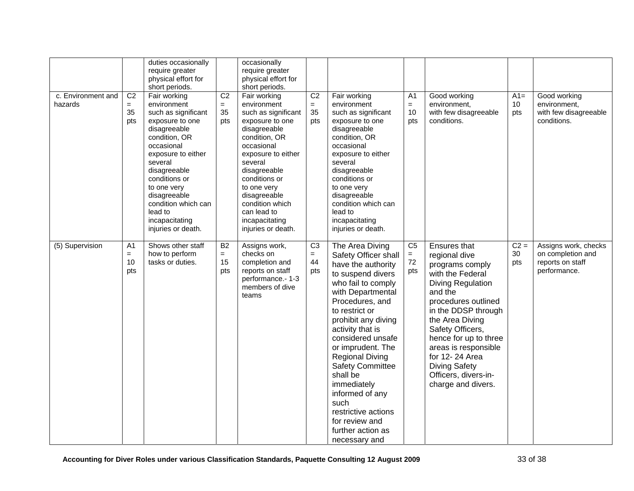| c. Environment and<br>hazards | C <sub>2</sub><br>$=$<br>35<br>pts | duties occasionally<br>require greater<br>physical effort for<br>short periods.<br>Fair working<br>environment<br>such as significant<br>exposure to one<br>disagreeable<br>condition, OR<br>occasional<br>exposure to either<br>several<br>disagreeable<br>conditions or<br>to one very<br>disagreeable<br>condition which can<br>lead to<br>incapacitating<br>injuries or death. | C <sub>2</sub><br>$=$<br>35<br>pts | occasionally<br>require greater<br>physical effort for<br>short periods.<br>Fair working<br>environment<br>such as significant<br>exposure to one<br>disagreeable<br>condition, OR<br>occasional<br>exposure to either<br>several<br>disagreeable<br>conditions or<br>to one very<br>disagreeable<br>condition which<br>can lead to<br>incapacitating<br>injuries or death. | C <sub>2</sub><br>$=$<br>35<br>pts | Fair working<br>environment<br>such as significant<br>exposure to one<br>disagreeable<br>condition, OR<br>occasional<br>exposure to either<br>several<br>disagreeable<br>conditions or<br>to one very<br>disagreeable<br>condition which can<br>lead to<br>incapacitating<br>injuries or death.                                                                                                                                                   | A <sub>1</sub><br>$=$<br>10<br>pts | Good working<br>environment,<br>with few disagreeable<br>conditions.                                                                                                                                                                                                                                                                      | $A1=$<br>10<br>pts  | Good working<br>environment,<br>with few disagreeable<br>conditions.          |
|-------------------------------|------------------------------------|------------------------------------------------------------------------------------------------------------------------------------------------------------------------------------------------------------------------------------------------------------------------------------------------------------------------------------------------------------------------------------|------------------------------------|-----------------------------------------------------------------------------------------------------------------------------------------------------------------------------------------------------------------------------------------------------------------------------------------------------------------------------------------------------------------------------|------------------------------------|---------------------------------------------------------------------------------------------------------------------------------------------------------------------------------------------------------------------------------------------------------------------------------------------------------------------------------------------------------------------------------------------------------------------------------------------------|------------------------------------|-------------------------------------------------------------------------------------------------------------------------------------------------------------------------------------------------------------------------------------------------------------------------------------------------------------------------------------------|---------------------|-------------------------------------------------------------------------------|
| (5) Supervision               | A <sub>1</sub><br>$=$<br>10<br>pts | Shows other staff<br>how to perform<br>tasks or duties.                                                                                                                                                                                                                                                                                                                            | <b>B2</b><br>$=$<br>15<br>pts      | Assigns work,<br>checks on<br>completion and<br>reports on staff<br>performance.- 1-3<br>members of dive<br>teams                                                                                                                                                                                                                                                           | C <sub>3</sub><br>$=$<br>44<br>pts | The Area Diving<br>Safety Officer shall<br>have the authority<br>to suspend divers<br>who fail to comply<br>with Departmental<br>Procedures, and<br>to restrict or<br>prohibit any diving<br>activity that is<br>considered unsafe<br>or imprudent. The<br><b>Regional Diving</b><br><b>Safety Committee</b><br>shall be<br>immediately<br>informed of any<br>such<br>restrictive actions<br>for review and<br>further action as<br>necessary and | C <sub>5</sub><br>$=$<br>72<br>pts | <b>Ensures that</b><br>regional dive<br>programs comply<br>with the Federal<br>Diving Regulation<br>and the<br>procedures outlined<br>in the DDSP through<br>the Area Diving<br>Safety Officers,<br>hence for up to three<br>areas is responsible<br>for 12-24 Area<br><b>Diving Safety</b><br>Officers, divers-in-<br>charge and divers. | $C2 =$<br>30<br>pts | Assigns work, checks<br>on completion and<br>reports on staff<br>performance. |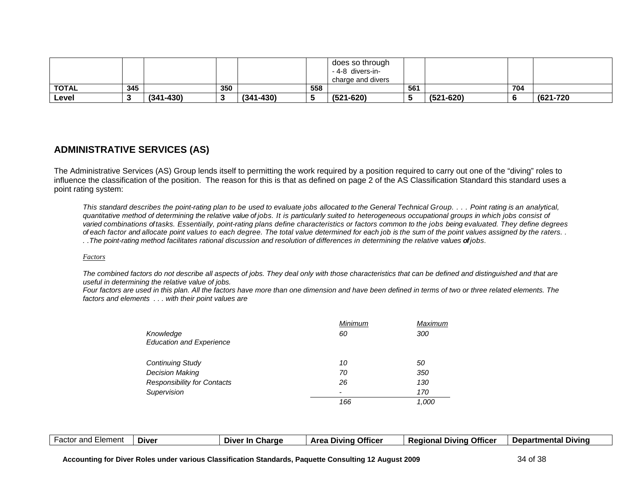|              |     |               |     |               |     | does so through<br>-4-8 divers-in-<br>charge and divers |     |               |     |          |
|--------------|-----|---------------|-----|---------------|-----|---------------------------------------------------------|-----|---------------|-----|----------|
| <b>TOTAL</b> | 345 |               | 350 |               | 558 |                                                         | 561 |               | 704 |          |
| Level        |     | $(341 - 430)$ |     | $(341 - 430)$ |     | $(521 - 620)$                                           |     | $(521 - 620)$ |     | (621-720 |

# **ADMINISTRATIVE SERVICES (AS)**

The Administrative Services (AS) Group lends itself to permitting the work required by a position required to carry out one of the "diving" roles to influence the classification of the position. The reason for this is that as defined on page 2 of the AS Classification Standard this standard uses a point rating system:

*This standard describes the point-rating plan to be used to evaluate jobs allocated to the General Technical Group. . . . Point rating is an analytical, quantitative method of determining the relative value of jobs. It is particularly suited to heterogeneous occupational groups in which jobs consist of varied combinations of tasks. Essentially, point-rating plans define characteristics or factors common to the jobs being evaluated. They define degrees of each factor and allocate point values to each degree. The total value determined for each job is the sum of the point values assigned by the raters. . . .The point-rating method facilitates rational discussion and resolution of differences in determining the relative values of jobs.* 

#### *Factors*

*The combined factors do not describe all aspects of jobs. They deal only with those characteristics that can be defined and distinguished and that are useful in determining the relative value of jobs.* 

*Four factors are used in this plan. All the factors have more than one dimension and have been defined in terms of two or three related elements. The factors and elements . . . with their point values are* 

|                                       | Minimum | <b>Maximum</b> |
|---------------------------------------|---------|----------------|
| Knowledge<br>Education and Experience | 60      | 300            |
| Continuing Study                      | 10      | 50             |
| Decision Making                       | 70      | 350            |
| Responsibility for Contacts           | 26      | 130            |
| Supervision                           | -       | 170            |
|                                       | 166     | 1.000          |

| <b>Officer</b><br><b>Officer</b><br><b>Diver</b><br><b>Regional Diving</b><br><b>Factor</b> and<br><b>Element</b><br>nangr <del>i</del> mants<br>Divino<br>Charge<br>Are<br>' In<br>Divinc<br>Diver<br>nentar<br>ттпе.<br>Jebar |
|---------------------------------------------------------------------------------------------------------------------------------------------------------------------------------------------------------------------------------|
|---------------------------------------------------------------------------------------------------------------------------------------------------------------------------------------------------------------------------------|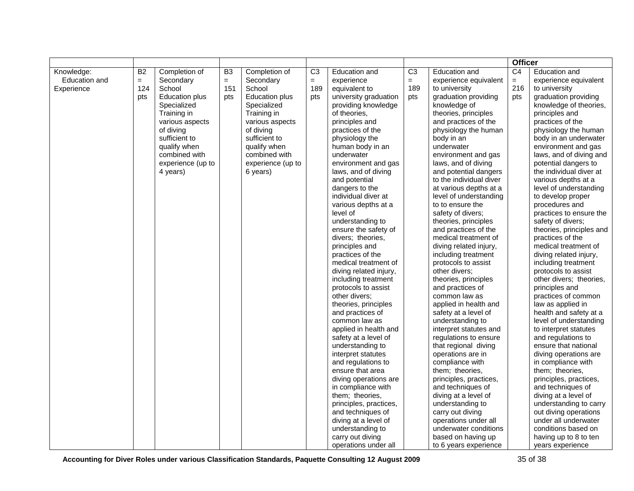|               |                |                       |                |                   |                |                        |                |                         | <b>Officer</b>  |                          |
|---------------|----------------|-----------------------|----------------|-------------------|----------------|------------------------|----------------|-------------------------|-----------------|--------------------------|
| Knowledge:    | B <sub>2</sub> | Completion of         | B <sub>3</sub> | Completion of     | C <sub>3</sub> | Education and          | C <sub>3</sub> | Education and           | $\overline{C4}$ | Education and            |
| Education and | $\equiv$       | Secondary             | $\equiv$       | Secondary         | $=$            | experience             | $=$            | experience equivalent   | $=$             | experience equivalent    |
| Experience    | 124            | School                | 151            | School            | 189            | equivalent to          | 189            | to university           | 216             | to university            |
|               | pts            | <b>Education plus</b> | pts            | Education plus    | pts            | university graduation  | pts            | graduation providing    | pts             | graduation providing     |
|               |                | Specialized           |                | Specialized       |                | providing knowledge    |                | knowledge of            |                 | knowledge of theories,   |
|               |                | Training in           |                | Training in       |                | of theories.           |                | theories, principles    |                 | principles and           |
|               |                | various aspects       |                | various aspects   |                | principles and         |                | and practices of the    |                 | practices of the         |
|               |                | of diving             |                | of diving         |                | practices of the       |                | physiology the human    |                 | physiology the human     |
|               |                | sufficient to         |                | sufficient to     |                | physiology the         |                | body in an              |                 | body in an underwater    |
|               |                | qualify when          |                | qualify when      |                | human body in an       |                | underwater              |                 | environment and gas      |
|               |                | combined with         |                | combined with     |                | underwater             |                | environment and gas     |                 | laws, and of diving and  |
|               |                | experience (up to     |                | experience (up to |                | environment and gas    |                | laws, and of diving     |                 | potential dangers to     |
|               |                | 4 years)              |                | 6 years)          |                | laws, and of diving    |                | and potential dangers   |                 | the individual diver at  |
|               |                |                       |                |                   |                | and potential          |                | to the individual diver |                 | various depths at a      |
|               |                |                       |                |                   |                | dangers to the         |                | at various depths at a  |                 | level of understanding   |
|               |                |                       |                |                   |                | individual diver at    |                | level of understanding  |                 | to develop proper        |
|               |                |                       |                |                   |                | various depths at a    |                | to to ensure the        |                 | procedures and           |
|               |                |                       |                |                   |                | level of               |                | safety of divers;       |                 | practices to ensure the  |
|               |                |                       |                |                   |                | understanding to       |                | theories, principles    |                 | safety of divers;        |
|               |                |                       |                |                   |                | ensure the safety of   |                | and practices of the    |                 | theories, principles and |
|               |                |                       |                |                   |                | divers; theories,      |                | medical treatment of    |                 | practices of the         |
|               |                |                       |                |                   |                | principles and         |                | diving related injury,  |                 | medical treatment of     |
|               |                |                       |                |                   |                | practices of the       |                | including treatment     |                 | diving related injury,   |
|               |                |                       |                |                   |                | medical treatment of   |                | protocols to assist     |                 | including treatment      |
|               |                |                       |                |                   |                | diving related injury, |                | other divers:           |                 | protocols to assist      |
|               |                |                       |                |                   |                | including treatment    |                | theories, principles    |                 | other divers; theories,  |
|               |                |                       |                |                   |                | protocols to assist    |                | and practices of        |                 | principles and           |
|               |                |                       |                |                   |                | other divers;          |                | common law as           |                 | practices of common      |
|               |                |                       |                |                   |                | theories, principles   |                | applied in health and   |                 | law as applied in        |
|               |                |                       |                |                   |                | and practices of       |                | safety at a level of    |                 | health and safety at a   |
|               |                |                       |                |                   |                | common law as          |                | understanding to        |                 | level of understanding   |
|               |                |                       |                |                   |                | applied in health and  |                | interpret statutes and  |                 | to interpret statutes    |
|               |                |                       |                |                   |                | safety at a level of   |                | regulations to ensure   |                 | and regulations to       |
|               |                |                       |                |                   |                | understanding to       |                | that regional diving    |                 | ensure that national     |
|               |                |                       |                |                   |                | interpret statutes     |                | operations are in       |                 | diving operations are    |
|               |                |                       |                |                   |                | and regulations to     |                | compliance with         |                 | in compliance with       |
|               |                |                       |                |                   |                | ensure that area       |                | them; theories,         |                 | them; theories,          |
|               |                |                       |                |                   |                | diving operations are  |                | principles, practices,  |                 | principles, practices,   |
|               |                |                       |                |                   |                | in compliance with     |                | and techniques of       |                 | and techniques of        |
|               |                |                       |                |                   |                | them; theories,        |                | diving at a level of    |                 | diving at a level of     |
|               |                |                       |                |                   |                | principles, practices, |                | understanding to        |                 | understanding to carry   |
|               |                |                       |                |                   |                | and techniques of      |                | carry out diving        |                 | out diving operations    |
|               |                |                       |                |                   |                | diving at a level of   |                | operations under all    |                 | under all underwater     |
|               |                |                       |                |                   |                | understanding to       |                | underwater conditions   |                 | conditions based on      |
|               |                |                       |                |                   |                | carry out diving       |                | based on having up      |                 | having up to 8 to ten    |
|               |                |                       |                |                   |                | operations under all   |                | to 6 years experience   |                 | years experience         |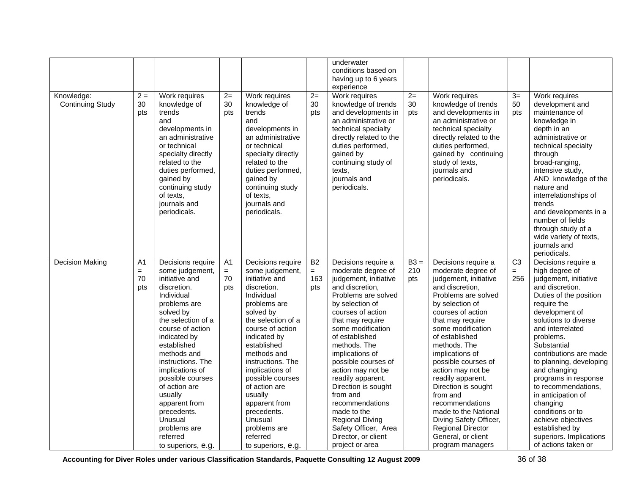|                                       |                                    |                                                                                                                                                                                                                                                                                                                                                                                               |                                    |                                                                                                                                                                                                                                                                                                                                                                                               |                                     | underwater<br>conditions based on<br>having up to 6 years<br>experience                                                                                                                                                                                                                                                                                                                                                                                                              |                      |                                                                                                                                                                                                                                                                                                                                                                                                                                                                                                   |                   |                                                                                                                                                                                                                                                                                                                                                                                                                                                                                          |
|---------------------------------------|------------------------------------|-----------------------------------------------------------------------------------------------------------------------------------------------------------------------------------------------------------------------------------------------------------------------------------------------------------------------------------------------------------------------------------------------|------------------------------------|-----------------------------------------------------------------------------------------------------------------------------------------------------------------------------------------------------------------------------------------------------------------------------------------------------------------------------------------------------------------------------------------------|-------------------------------------|--------------------------------------------------------------------------------------------------------------------------------------------------------------------------------------------------------------------------------------------------------------------------------------------------------------------------------------------------------------------------------------------------------------------------------------------------------------------------------------|----------------------|---------------------------------------------------------------------------------------------------------------------------------------------------------------------------------------------------------------------------------------------------------------------------------------------------------------------------------------------------------------------------------------------------------------------------------------------------------------------------------------------------|-------------------|------------------------------------------------------------------------------------------------------------------------------------------------------------------------------------------------------------------------------------------------------------------------------------------------------------------------------------------------------------------------------------------------------------------------------------------------------------------------------------------|
| Knowledge:<br><b>Continuing Study</b> | $\overline{2}$ =<br>30<br>pts      | Work requires<br>knowledge of<br>trends<br>and<br>developments in<br>an administrative<br>or technical<br>specialty directly<br>related to the<br>duties performed,<br>gained by<br>continuing study<br>of texts,<br>journals and<br>periodicals.                                                                                                                                             | $2=$<br>30<br>pts                  | Work requires<br>knowledge of<br>trends<br>and<br>developments in<br>an administrative<br>or technical<br>specialty directly<br>related to the<br>duties performed,<br>gained by<br>continuing study<br>of texts,<br>journals and<br>periodicals.                                                                                                                                             | $2=$<br>30<br>pts                   | Work requires<br>knowledge of trends<br>and developments in<br>an administrative or<br>technical specialty<br>directly related to the<br>duties performed,<br>gained by<br>continuing study of<br>texts,<br>journals and<br>periodicals.                                                                                                                                                                                                                                             | $2=$<br>30<br>pts    | Work requires<br>knowledge of trends<br>and developments in<br>an administrative or<br>technical specialty<br>directly related to the<br>duties performed,<br>gained by continuing<br>study of texts,<br>journals and<br>periodicals.                                                                                                                                                                                                                                                             | $3=$<br>50<br>pts | Work requires<br>development and<br>maintenance of<br>knowledge in<br>depth in an<br>administrative or<br>technical specialty<br>through<br>broad-ranging,<br>intensive study,<br>AND knowledge of the<br>nature and<br>interrelationships of<br>trends<br>and developments in a<br>number of fields<br>through study of a<br>wide variety of texts,<br>journals and<br>periodicals.                                                                                                     |
| Decision Making                       | A <sub>1</sub><br>$=$<br>70<br>pts | Decisions require<br>some judgement,<br>initiative and<br>discretion.<br>Individual<br>problems are<br>solved by<br>the selection of a<br>course of action<br>indicated by<br>established<br>methods and<br>instructions. The<br>implications of<br>possible courses<br>of action are<br>usually<br>apparent from<br>precedents.<br>Unusual<br>problems are<br>referred<br>to superiors, e.g. | A <sub>1</sub><br>$=$<br>70<br>pts | Decisions require<br>some judgement,<br>initiative and<br>discretion.<br>Individual<br>problems are<br>solved by<br>the selection of a<br>course of action<br>indicated by<br>established<br>methods and<br>instructions. The<br>implications of<br>possible courses<br>of action are<br>usually<br>apparent from<br>precedents.<br>Unusual<br>problems are<br>referred<br>to superiors, e.g. | B <sub>2</sub><br>$=$<br>163<br>pts | Decisions require a<br>moderate degree of<br>judgement, initiative<br>and discretion.<br>Problems are solved<br>by selection of<br>courses of action<br>that may require<br>some modification<br>of established<br>methods. The<br>implications of<br>possible courses of<br>action may not be<br>readily apparent.<br>Direction is sought<br>from and<br>recommendations<br>made to the<br><b>Regional Diving</b><br>Safety Officer, Area<br>Director, or client<br>project or area | $B3 =$<br>210<br>pts | Decisions require a<br>moderate degree of<br>judgement, initiative<br>and discretion,<br>Problems are solved<br>by selection of<br>courses of action<br>that may require<br>some modification<br>of established<br>methods. The<br>implications of<br>possible courses of<br>action may not be<br>readily apparent.<br>Direction is sought<br>from and<br>recommendations<br>made to the National<br>Diving Safety Officer,<br><b>Regional Director</b><br>General, or client<br>program managers | C3<br>$=$<br>256  | Decisions require a<br>high degree of<br>judgement, initiative<br>and discretion.<br>Duties of the position<br>require the<br>development of<br>solutions to diverse<br>and interrelated<br>problems.<br>Substantial<br>contributions are made<br>to planning, developing<br>and changing<br>programs in response<br>to recommendations,<br>in anticipation of<br>changing<br>conditions or to<br>achieve objectives<br>established by<br>superiors. Implications<br>of actions taken or |

**Accounting for Diver Roles under various Classification Standards, Paquette Consulting 12 August 2009** 36 of 38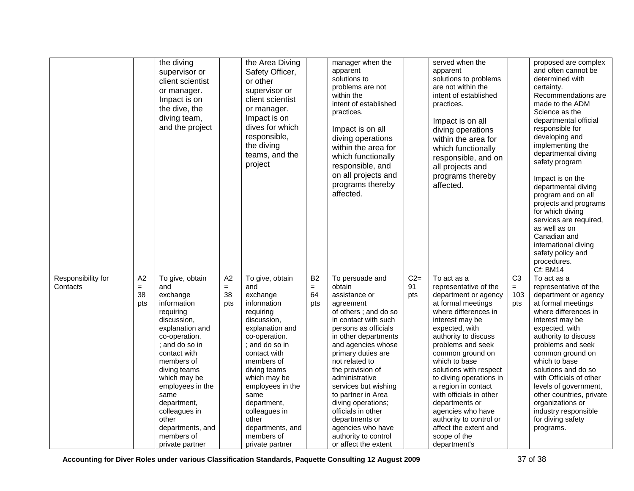|                                |                        | the diving<br>supervisor or<br>client scientist<br>or manager.<br>Impact is on<br>the dive, the<br>diving team,<br>and the project                                                                                                                                                                                          |                             | the Area Diving<br>Safety Officer,<br>or other<br>supervisor or<br>client scientist<br>or manager.<br>Impact is on<br>dives for which<br>responsible,<br>the diving<br>teams, and the<br>project                                                                                                                            |                        | manager when the<br>apparent<br>solutions to<br>problems are not<br>within the<br>intent of established<br>practices.<br>Impact is on all<br>diving operations<br>within the area for<br>which functionally<br>responsible, and<br>on all projects and<br>programs thereby<br>affected.                                                                                                                                                      |                    | served when the<br>apparent<br>solutions to problems<br>are not within the<br>intent of established<br>practices.<br>Impact is on all<br>diving operations<br>within the area for<br>which functionally<br>responsible, and on<br>all projects and<br>programs thereby<br>affected.                                                                                                                                                                                 |                         | proposed are complex<br>and often cannot be<br>determined with<br>certainty.<br>Recommendations are<br>made to the ADM<br>Science as the<br>departmental official<br>responsible for<br>developing and<br>implementing the<br>departmental diving<br>safety program<br>Impact is on the<br>departmental diving<br>program and on all<br>projects and programs<br>for which diving<br>services are required,<br>as well as on<br>Canadian and<br>international diving<br>safety policy and<br>procedures.<br>Cf: BM14 |
|--------------------------------|------------------------|-----------------------------------------------------------------------------------------------------------------------------------------------------------------------------------------------------------------------------------------------------------------------------------------------------------------------------|-----------------------------|-----------------------------------------------------------------------------------------------------------------------------------------------------------------------------------------------------------------------------------------------------------------------------------------------------------------------------|------------------------|----------------------------------------------------------------------------------------------------------------------------------------------------------------------------------------------------------------------------------------------------------------------------------------------------------------------------------------------------------------------------------------------------------------------------------------------|--------------------|---------------------------------------------------------------------------------------------------------------------------------------------------------------------------------------------------------------------------------------------------------------------------------------------------------------------------------------------------------------------------------------------------------------------------------------------------------------------|-------------------------|----------------------------------------------------------------------------------------------------------------------------------------------------------------------------------------------------------------------------------------------------------------------------------------------------------------------------------------------------------------------------------------------------------------------------------------------------------------------------------------------------------------------|
| Responsibility for<br>Contacts | A2<br>$=$<br>38<br>pts | To give, obtain<br>and<br>exchange<br>information<br>requiring<br>discussion,<br>explanation and<br>co-operation.<br>; and do so in<br>contact with<br>members of<br>diving teams<br>which may be<br>employees in the<br>same<br>department,<br>colleagues in<br>other<br>departments, and<br>members of<br>private partner | A2<br>$\equiv$<br>38<br>pts | To give, obtain<br>and<br>exchange<br>information<br>requiring<br>discussion,<br>explanation and<br>co-operation.<br>; and do so in<br>contact with<br>members of<br>diving teams<br>which may be<br>employees in the<br>same<br>department,<br>colleagues in<br>other<br>departments, and<br>members of<br>private partner | B2<br>$=$<br>64<br>pts | To persuade and<br>obtain<br>assistance or<br>agreement<br>of others; and do so<br>in contact with such<br>persons as officials<br>in other departments<br>and agencies whose<br>primary duties are<br>not related to<br>the provision of<br>administrative<br>services but wishing<br>to partner in Area<br>diving operations;<br>officials in other<br>departments or<br>agencies who have<br>authority to control<br>or affect the extent | $C2=$<br>91<br>pts | To act as a<br>representative of the<br>department or agency<br>at formal meetings<br>where differences in<br>interest may be<br>expected, with<br>authority to discuss<br>problems and seek<br>common ground on<br>which to base<br>solutions with respect<br>to diving operations in<br>a region in contact<br>with officials in other<br>departments or<br>agencies who have<br>authority to control or<br>affect the extent and<br>scope of the<br>department's | C3<br>$=$<br>103<br>pts | To act as a<br>representative of the<br>department or agency<br>at formal meetings<br>where differences in<br>interest may be<br>expected, with<br>authority to discuss<br>problems and seek<br>common ground on<br>which to base<br>solutions and do so<br>with Officials of other<br>levels of government,<br>other countries, private<br>organizations or<br>industry responsible<br>for diving safety<br>programs.                                                                                               |

**Accounting for Diver Roles under various Classification Standards, Paquette Consulting 12 August 2009** 37 of 38